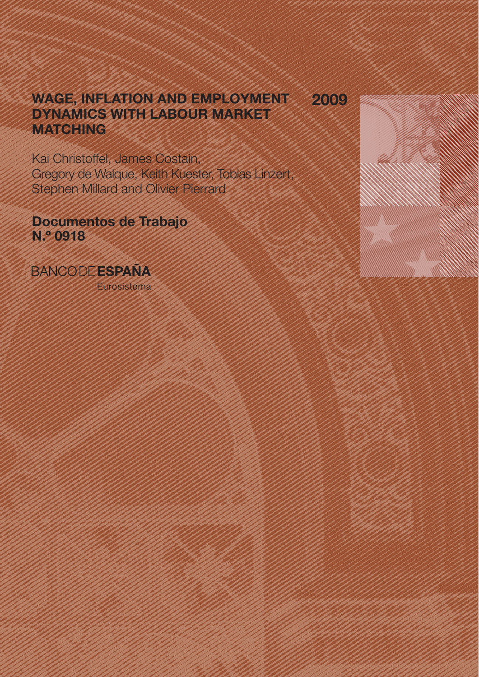# WAGE, INFLATION AND EMPLOYMENT DYNAMICS WITH LABOUR MARKET **MATCHING** 2009

Kai Christoffel, James Costain, Gregory de Walque, Keith Kuester, Tobias Linzert, Stephen Millard and Olivier Pierrard

Documentos de Trabajo N.º 0918

**BANCODEESPAÑA** 

Eurosistema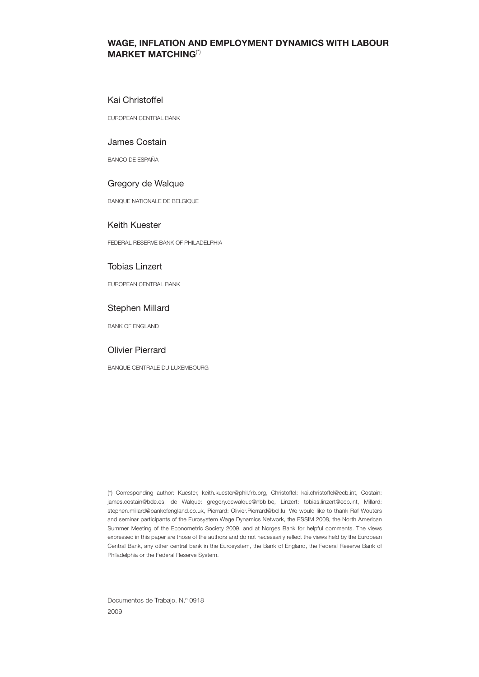## WAGE, INFLATION AND EMPLOYMENT DYNAMICS WITH LABOUR MARKET MATCHING(\*)

## Kai Christoffel

EUROPEAN CENTRAL BANK

## James Costain

BANCO DE ESPAÑA

## Gregory de Walque

BANQUE NATIONALE DE BELGIQUE

## Keith Kuester

FEDERAL RESERVE BANK OF PHILADELPHIA

## Tobias Linzert

EUROPEAN CENTRAL BANK

## Stephen Millard

BANK OF ENGLAND

## Olivier Pierrard

BANQUE CENTRALE DU LUXEMBOURG

(\*) Corresponding author: Kuester, keith.kuester@phil.frb.org, Christoffel: kai.christoffel@ecb.int, Costain: james.costain@bde.es, de Walque: gregory.dewalque@nbb.be, Linzert: tobias.linzert@ecb.int, Millard: stephen.millard@bankofengland.co.uk, Pierrard: Olivier.Pierrard@bcl.lu. We would like to thank Raf Wouters and seminar participants of the Eurosystem Wage Dynamics Network, the ESSIM 2008, the North American Summer Meeting of the Econometric Society 2009, and at Norges Bank for helpful comments. The views expressed in this paper are those of the authors and do not necessarily reflect the views held by the European Central Bank, any other central bank in the Eurosystem, the Bank of England, the Federal Reserve Bank of Philadelphia or the Federal Reserve System.

Documentos de Trabajo. N.º 0918 2009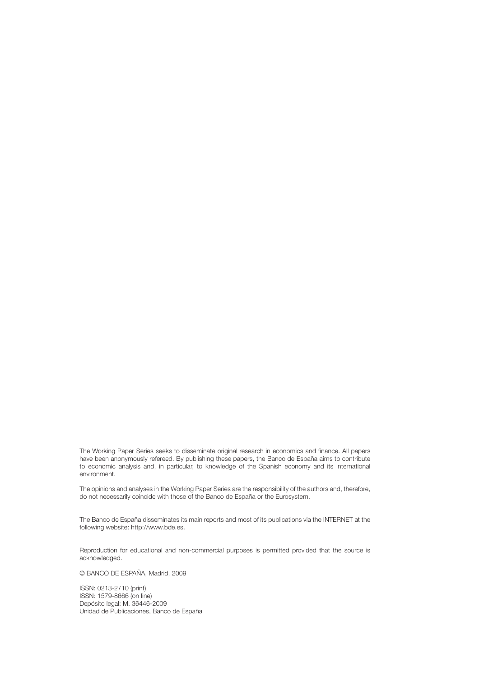The Working Paper Series seeks to disseminate original research in economics and finance. All papers have been anonymously refereed. By publishing these papers, the Banco de España aims to contribute to economic analysis and, in particular, to knowledge of the Spanish economy and its international environment.

The opinions and analyses in the Working Paper Series are the responsibility of the authors and, therefore, do not necessarily coincide with those of the Banco de España or the Eurosystem.

The Banco de España disseminates its main reports and most of its publications via the INTERNET at the following website: http://www.bde.es.

Reproduction for educational and non-commercial purposes is permitted provided that the source is acknowledged.

© BANCO DE ESPAÑA, Madrid, 2009

ISSN: 0213-2710 (print) ISSN: 1579-8666 (on line) Depósito legal: M. 36446-2009 Unidad de Publicaciones, Banco de España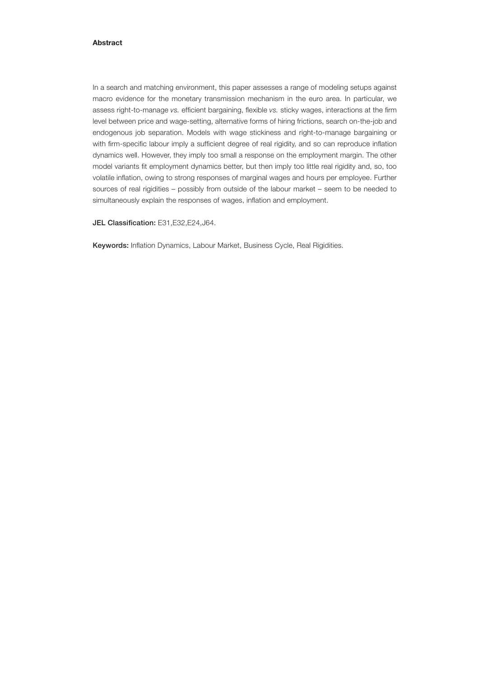## Abstract

In a search and matching environment, this paper assesses a range of modeling setups against macro evidence for the monetary transmission mechanism in the euro area. In particular, we assess right-to-manage vs. efficient bargaining, flexible vs. sticky wages, interactions at the firm level between price and wage-setting, alternative forms of hiring frictions, search on-the-job and endogenous job separation. Models with wage stickiness and right-to-manage bargaining or with firm-specific labour imply a sufficient degree of real rigidity, and so can reproduce inflation dynamics well. However, they imply too small a response on the employment margin. The other model variants fit employment dynamics better, but then imply too little real rigidity and, so, too volatile inflation, owing to strong responses of marginal wages and hours per employee. Further sources of real rigidities – possibly from outside of the labour market – seem to be needed to simultaneously explain the responses of wages, inflation and employment.

JEL Classification: E31, E32, E24, J64.

Keywords: Inflation Dynamics, Labour Market, Business Cycle, Real Rigidities.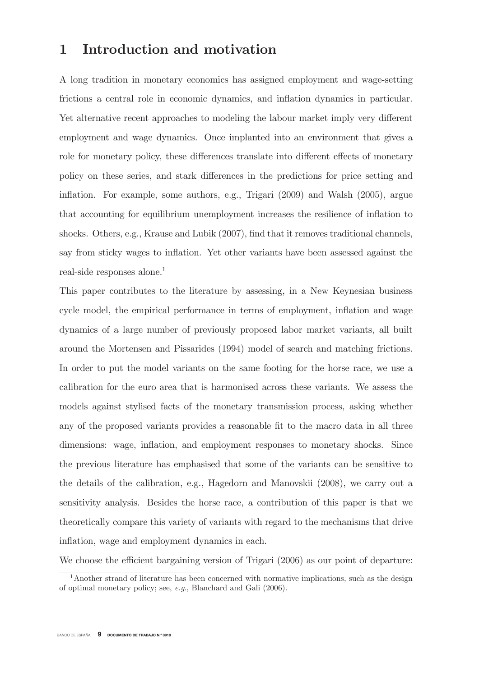## Introduction and motivation  $\mathbf{1}$

A long tradition in monetary economics has assigned employment and wage-setting frictions a central role in economic dynamics, and inflation dynamics in particular. Yet alternative recent approaches to modeling the labour market imply very different employment and wage dynamics. Once implanted into an environment that gives a role for monetary policy, these differences translate into different effects of monetary policy on these series, and stark differences in the predictions for price setting and inflation. For example, some authors, e.g., Trigari (2009) and Walsh (2005), argue that accounting for equilibrium unemployment increases the resilience of inflation to shocks. Others, e.g., Krause and Lubik (2007), find that it removes traditional channels, say from sticky wages to inflation. Yet other variants have been assessed against the real-side responses alone.<sup>1</sup>

This paper contributes to the literature by assessing, in a New Keynesian business cycle model, the empirical performance in terms of employment, inflation and wage dynamics of a large number of previously proposed labor market variants, all built around the Mortensen and Pissarides (1994) model of search and matching frictions. In order to put the model variants on the same footing for the horse race, we use a calibration for the euro area that is harmonised across these variants. We assess the models against stylised facts of the monetary transmission process, asking whether any of the proposed variants provides a reasonable fit to the macro data in all three dimensions: wage, inflation, and employment responses to monetary shocks. Since the previous literature has emphasised that some of the variants can be sensitive to the details of the calibration, e.g., Hagedorn and Manovskii (2008), we carry out a sensitivity analysis. Besides the horse race, a contribution of this paper is that we theoretically compare this variety of variants with regard to the mechanisms that drive inflation, wage and employment dynamics in each.

We choose the efficient bargaining version of Trigari (2006) as our point of departure:

<sup>&</sup>lt;sup>1</sup>Another strand of literature has been concerned with normative implications, such as the design of optimal monetary policy; see,  $e.g.,$  Blanchard and Gali  $(2006).$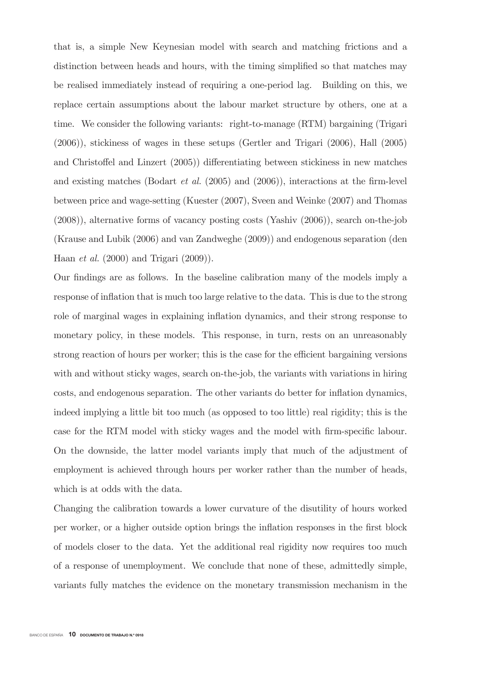that is, a simple New Keynesian model with search and matching frictions and a distinction between heads and hours, with the timing simplified so that matches may be realised immediately instead of requiring a one-period lag. Building on this, we replace certain assumptions about the labour market structure by others, one at a time. We consider the following variants: right-to-manage (RTM) bargaining (Trigari  $(2006)$ , stickiness of wages in these setups (Gertler and Trigari  $(2006)$ , Hall  $(2005)$ and Christoffel and Linzert (2005)) differentiating between stickiness in new matches and existing matches (Bodart *et al.* (2005) and (2006)), interactions at the firm-level between price and wage-setting (Kuester (2007), Sveen and Weinke (2007) and Thomas  $(2008)$ , alternative forms of vacancy posting costs (Yashiv  $(2006)$ ), search on-the-job (Krause and Lubik (2006) and van Zandweghe (2009)) and endogenous separation (den Haan *et al.*  $(2000)$  and Trigari  $(2009)$ ).

Our findings are as follows. In the baseline calibration many of the models imply a response of inflation that is much too large relative to the data. This is due to the strong role of marginal wages in explaining inflation dynamics, and their strong response to monetary policy, in these models. This response, in turn, rests on an unreasonably strong reaction of hours per worker; this is the case for the efficient bargaining versions with and without sticky wages, search on-the-job, the variants with variations in hiring costs, and endogenous separation. The other variants do better for inflation dynamics, indeed implying a little bit too much (as opposed to too little) real rigidity; this is the case for the RTM model with sticky wages and the model with firm-specific labour. On the downside, the latter model variants imply that much of the adjustment of employment is achieved through hours per worker rather than the number of heads, which is at odds with the data.

Changing the calibration towards a lower curvature of the disutility of hours worked per worker, or a higher outside option brings the inflation responses in the first block of models closer to the data. Yet the additional real rigidity now requires too much of a response of unemployment. We conclude that none of these, admittedly simple, variants fully matches the evidence on the monetary transmission mechanism in the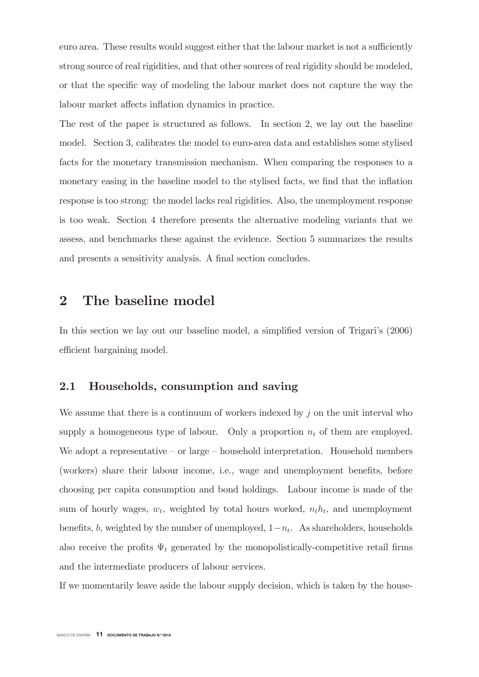euro area. These results would suggest either that the labour market is not a sufficiently strong source of real rigidities, and that other sources of real rigidity should be modeled, or that the specific way of modeling the labour market does not capture the way the labour market affects inflation dynamics in practice.

The rest of the paper is structured as follows. In section 2, we lay out the baseline model. Section 3, calibrates the model to euro-area data and establishes some stylised facts for the monetary transmission mechanism. When comparing the responses to a monetary easing in the baseline model to the stylised facts, we find that the inflation response is too strong: the model lacks real rigidities. Also, the unemployment response is too weak. Section 4 therefore presents the alternative modeling variants that we assess, and benchmarks these against the evidence. Section 5 summarizes the results and presents a sensitivity analysis. A final section concludes.

## $\overline{2}$ The baseline model

In this section we lay out our baseline model, a simplified version of Trigari's  $(2006)$ efficient bargaining model.

### 2.1 Households, consumption and saving

We assume that there is a continuum of workers indexed by  $j$  on the unit interval who supply a homogeneous type of labour. Only a proportion  $n_t$  of them are employed. We adopt a representative – or large – household interpretation. Household members (workers) share their labour income, i.e., wage and unemployment benefits, before choosing per capita consumption and bond holdings. Labour income is made of the sum of hourly wages,  $w_t$ , weighted by total hours worked,  $n_t h_t$ , and unemployment benefits, b, weighted by the number of unemployed,  $1-n_t$ . As shareholders, households also receive the profits  $\Psi_t$  generated by the monopolistically-competitive retail firms and the intermediate producers of labour services.

If we momentarily leave aside the labour supply decision, which is taken by the house-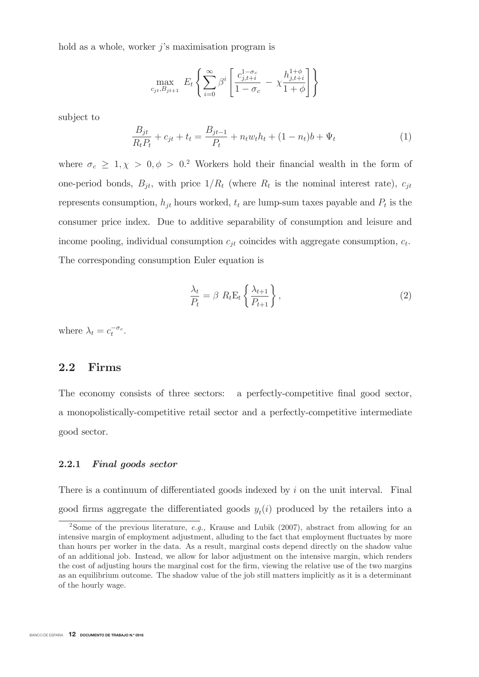hold as a whole, worker  $j$ 's maximisation program is

$$
\max_{c_{jt}, B_{jt+1}} E_t \left\{ \sum_{i=0}^{\infty} \beta^i \left[ \frac{c_{j,t+i}^{1-\sigma_c}}{1-\sigma_c} - \chi \frac{h_{j,t+i}^{1+\phi}}{1+\phi} \right] \right\}
$$

subject to

$$
\frac{B_{jt}}{R_t P_t} + c_{jt} + t_t = \frac{B_{jt-1}}{P_t} + n_t w_t h_t + (1 - n_t) b + \Psi_t
$$
\n(1)

where  $\sigma_c \geq 1, \chi > 0, \phi > 0$ . Workers hold their financial wealth in the form of one-period bonds,  $B_{jt}$ , with price  $1/R_t$  (where  $R_t$  is the nominal interest rate),  $c_{jt}$ represents consumption,  $h_{jt}$  hours worked,  $t_t$  are lump-sum taxes payable and  $P_t$  is the consumer price index. Due to additive separability of consumption and leisure and income pooling, individual consumption  $c_{it}$  coincides with aggregate consumption,  $c_t$ . The corresponding consumption Euler equation is

$$
\frac{\lambda_t}{P_t} = \beta \ R_t \mathbf{E}_t \left\{ \frac{\lambda_{t+1}}{P_{t+1}} \right\},\tag{2}
$$

where  $\lambda_t = c_t^{-\sigma_c}$ .

## $2.2$ Firms

The economy consists of three sectors: a perfectly-competitive final good sector, a monopolistically-competitive retail sector and a perfectly-competitive intermediate good sector.

#### $2.2.1$ Final goods sector

There is a continuum of differentiated goods indexed by i on the unit interval. Final good firms aggregate the differentiated goods  $y_t(i)$  produced by the retailers into a

<sup>&</sup>lt;sup>2</sup>Some of the previous literature, e.g., Krause and Lubik (2007), abstract from allowing for an intensive margin of employment adjustment, alluding to the fact that employment fluctuates by more than hours per worker in the data. As a result, marginal costs depend directly on the shadow value of an additional job. Instead, we allow for labor adjustment on the intensive margin, which renders the cost of adjusting hours the marginal cost for the firm, viewing the relative use of the two margins as an equilibrium outcome. The shadow value of the job still matters implicitly as it is a determinant of the hourly wage.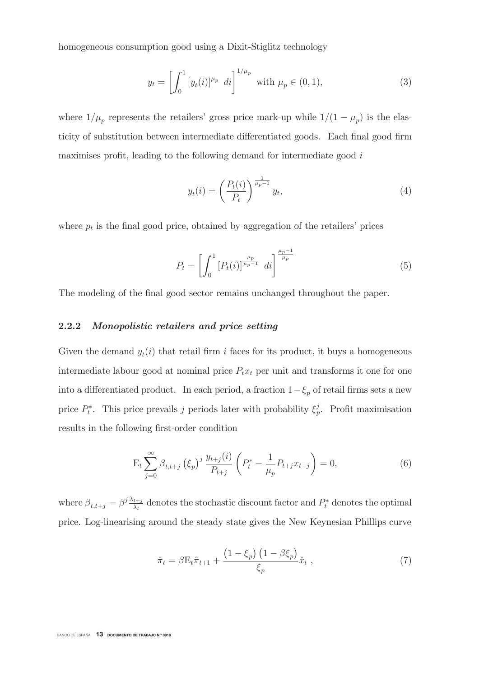homogeneous consumption good using a Dixit-Stiglitz technology

$$
y_t = \left[ \int_0^1 [y_t(i)]^{\mu_p} \ dt \right]^{1/\mu_p} \ \text{with } \mu_p \in (0, 1), \tag{3}
$$

where  $1/\mu_p$  represents the retailers' gross price mark-up while  $1/(1-\mu_p)$  is the elasticity of substitution between intermediate differentiated goods. Each final good firm maximises profit, leading to the following demand for intermediate good i

$$
y_t(i) = \left(\frac{P_t(i)}{P_t}\right)^{\frac{1}{\mu_p - 1}} y_t,\tag{4}
$$

where  $p_t$  is the final good price, obtained by aggregation of the retailers' prices

$$
P_t = \left[ \int_0^1 \left[ P_t(i) \right]^{\frac{\mu_p}{\mu_p - 1}} \, di \right]^{\frac{\mu_p - 1}{\mu_p}} \tag{5}
$$

The modeling of the final good sector remains unchanged throughout the paper.

### $2.2.2$ Monopolistic retailers and price setting

Given the demand  $y_t(i)$  that retail firm i faces for its product, it buys a homogeneous intermediate labour good at nominal price  $P_t x_t$  per unit and transforms it one for one into a differentiated product. In each period, a fraction  $1-\xi_p$  of retail firms sets a new price  $P_t^*$ . This price prevails j periods later with probability  $\xi_p^j$ . Profit maximisation results in the following first-order condition

$$
E_t \sum_{j=0}^{\infty} \beta_{t,t+j} (\xi_p)^j \frac{y_{t+j}(i)}{P_{t+j}} \left( P_t^* - \frac{1}{\mu_p} P_{t+j} x_{t+j} \right) = 0, \tag{6}
$$

where  $\beta_{t,t+j} = \beta^j \frac{\lambda_{t+j}}{\lambda_t}$  denotes the stochastic discount factor and  $P_t^*$  denotes the optimal price. Log-linearising around the steady state gives the New Keynesian Phillips curve

$$
\hat{\pi}_t = \beta \mathbf{E}_t \hat{\pi}_{t+1} + \frac{\left(1 - \xi_p\right) \left(1 - \beta \xi_p\right)}{\xi_p} \hat{x}_t , \qquad (7)
$$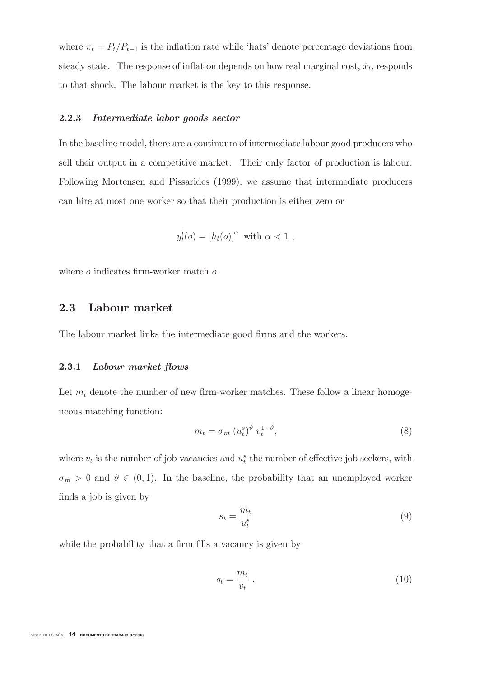where  $\pi_t = P_t/P_{t-1}$  is the inflation rate while 'hats' denote percentage deviations from steady state. The response of inflation depends on how real marginal cost,  $\hat{x}_t$ , responds to that shock. The labour market is the key to this response.

#### 2.2.3 Intermediate labor goods sector

In the baseline model, there are a continuum of intermediate labour good producers who sell their output in a competitive market. Their only factor of production is labour. Following Mortensen and Pissarides (1999), we assume that intermediate producers can hire at most one worker so that their production is either zero or

$$
y_t^l(o) = [h_t(o)]^\alpha \text{ with } \alpha < 1 ,
$$

where  $o$  indicates firm-worker match  $o$ .

### 2.3 Labour market

The labour market links the intermediate good firms and the workers.

#### 2.3.1 Labour market flows

Let  $m_t$  denote the number of new firm-worker matches. These follow a linear homogeneous matching function:

$$
m_t = \sigma_m \left( u_t^s \right)^{\vartheta} v_t^{1-\vartheta}, \tag{8}
$$

where  $v_t$  is the number of job vacancies and  $u_t^s$  the number of effective job seekers, with  $\sigma_m > 0$  and  $\vartheta \in (0,1)$ . In the baseline, the probability that an unemployed worker finds a job is given by

$$
s_t = \frac{m_t}{u_t^s} \tag{9}
$$

while the probability that a firm fills a vacancy is given by

$$
q_t = \frac{m_t}{v_t} \tag{10}
$$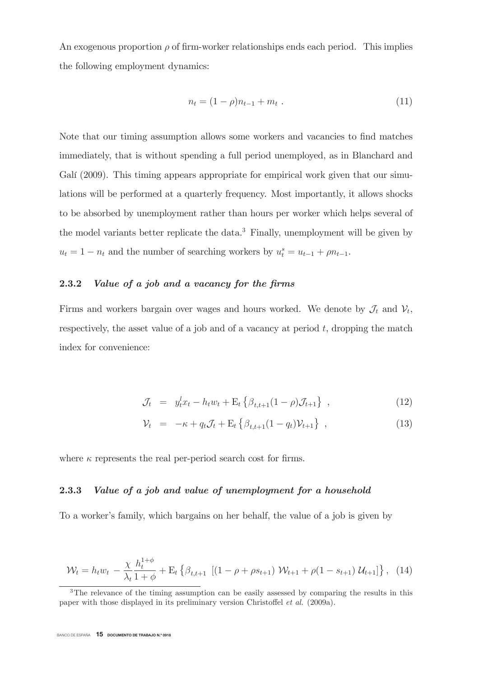An exogenous proportion  $\rho$  of firm-worker relationships ends each period. This implies the following employment dynamics:

$$
n_t = (1 - \rho)n_{t-1} + m_t \tag{11}
$$

Note that our timing assumption allows some workers and vacancies to find matches immediately, that is without spending a full period unemployed, as in Blanchard and Galí (2009). This timing appears appropriate for empirical work given that our simulations will be performed at a quarterly frequency. Most importantly, it allows shocks to be absorbed by unemployment rather than hours per worker which helps several of the model variants better replicate the data.<sup>3</sup> Finally, unemployment will be given by  $u_t = 1 - n_t$  and the number of searching workers by  $u_t^s = u_{t-1} + \rho n_{t-1}$ .

### $\bf 2.3.2$ 2 Value of a job and a vacancy for the firms

Firms and workers bargain over wages and hours worked. We denote by  $\mathcal{J}_t$  and  $\mathcal{V}_t$ , respectively, the asset value of a job and of a vacancy at period  $t$ , dropping the match index for convenience:

$$
\mathcal{J}_t = y_t^l x_t - h_t w_t + \mathcal{E}_t \left\{ \beta_{t,t+1} (1 - \rho) \mathcal{J}_{t+1} \right\} , \qquad (12)
$$

$$
\mathcal{V}_t = -\kappa + q_t \mathcal{J}_t + \mathcal{E}_t \left\{ \beta_{t,t+1} (1 - q_t) \mathcal{V}_{t+1} \right\} , \qquad (13)
$$

where  $\kappa$  represents the real per-period search cost for firms.

### 2.3.3 Value of a job and value of unemployment for a household

To a worker's family, which bargains on her behalf, the value of a job is given by

$$
\mathcal{W}_t = h_t w_t - \frac{\chi}{\lambda_t} \frac{h_t^{1+\phi}}{1+\phi} + \mathbb{E}_t \left\{ \beta_{t,t+1} \left[ (1-\rho + \rho s_{t+1}) \mathcal{W}_{t+1} + \rho (1 - s_{t+1}) \mathcal{U}_{t+1} \right] \right\}, \tag{14}
$$

<sup>&</sup>lt;sup>3</sup>The relevance of the timing assumption can be easily assessed by comparing the results in this paper with those displayed in its preliminary version Christoffel *et al.*  $(2009a)$ .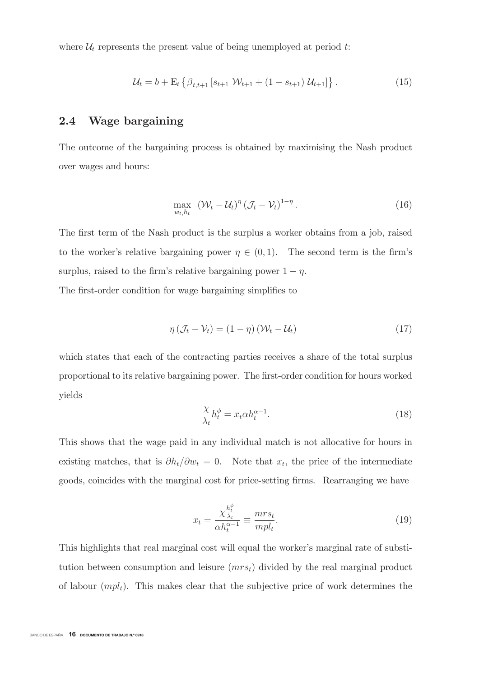where  $\mathcal{U}_t$  represents the present value of being unemployed at period t:

$$
\mathcal{U}_t = b + \mathcal{E}_t \left\{ \beta_{t,t+1} \left[ s_{t+1} \mathcal{W}_{t+1} + (1 - s_{t+1}) \mathcal{U}_{t+1} \right] \right\}.
$$
 (15)

### $2.4$ Wage bargaining

The outcome of the bargaining process is obtained by maximising the Nash product over wages and hours:

$$
\max_{w_t, h_t} \left( \mathcal{W}_t - \mathcal{U}_t \right)^{\eta} \left( \mathcal{J}_t - \mathcal{V}_t \right)^{1-\eta} . \tag{16}
$$

The first term of the Nash product is the surplus a worker obtains from a job, raised to the worker's relative bargaining power  $\eta \in (0,1)$ . The second term is the firm's surplus, raised to the firm's relative bargaining power  $1 - \eta$ .

The first-order condition for wage bargaining simplifies to

$$
\eta \left( \mathcal{J}_t - \mathcal{V}_t \right) = (1 - \eta) \left( \mathcal{W}_t - \mathcal{U}_t \right) \tag{17}
$$

which states that each of the contracting parties receives a share of the total surplus proportional to its relative bargaining power. The first-order condition for hours worked yields

$$
\frac{\chi}{\lambda_t} h_t^{\phi} = x_t \alpha h_t^{\alpha - 1}.
$$
\n(18)

This shows that the wage paid in any individual match is not allocative for hours in existing matches, that is  $\partial h_t / \partial w_t = 0$ . Note that  $x_t$ , the price of the intermediate goods, coincides with the marginal cost for price-setting firms. Rearranging we have

$$
x_t = \frac{\chi_{\lambda_t}^{\frac{h_t^{\phi}}{2}}}{\alpha h_t^{\alpha - 1}} \equiv \frac{m r s_t}{m p l_t}.
$$
\n(19)

This highlights that real marginal cost will equal the worker's marginal rate of substitution between consumption and leisure  $(mrs_t)$  divided by the real marginal product of labour  $(mpl_t)$ . This makes clear that the subjective price of work determines the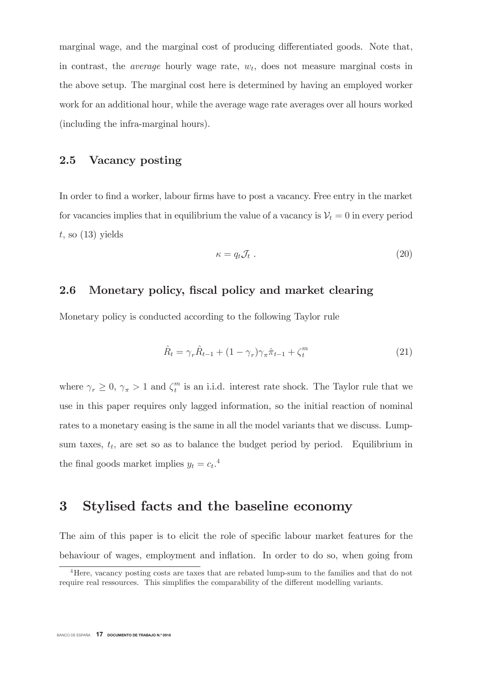marginal wage, and the marginal cost of producing differentiated goods. Note that, in contrast, the *average* hourly wage rate,  $w_t$ , does not measure marginal costs in the above setup. The marginal cost here is determined by having an employed worker work for an additional hour, while the average wage rate averages over all hours worked (including the infra-marginal hours).

### $2.5$ Vacancy posting

In order to find a worker, labour firms have to post a vacancy. Free entry in the market for vacancies implies that in equilibrium the value of a vacancy is  $V_t = 0$  in every period t. so  $(13)$  vields

$$
\kappa = q_t \mathcal{J}_t \ . \tag{20}
$$

### 2.6 Monetary policy, fiscal policy and market clearing

Monetary policy is conducted according to the following Taylor rule

$$
\hat{R}_t = \gamma_r \hat{R}_{t-1} + (1 - \gamma_r) \gamma_\pi \hat{\pi}_{t-1} + \zeta_t^m \tag{21}
$$

where  $\gamma_r \geq 0$ ,  $\gamma_{\pi} > 1$  and  $\zeta_t^m$  is an i.i.d. interest rate shock. The Taylor rule that we use in this paper requires only lagged information, so the initial reaction of nominal rates to a monetary easing is the same in all the model variants that we discuss. Lumpsum taxes,  $t_t$ , are set so as to balance the budget period by period. Equilibrium in the final goods market implies  $y_t = c_t$ <sup>4</sup>

## Stylised facts and the baseline economy  $\bf{3}$

The aim of this paper is to elicit the role of specific labour market features for the behaviour of wages, employment and inflation. In order to do so, when going from

<sup>&</sup>lt;sup>4</sup>Here, vacancy posting costs are taxes that are rebated lump-sum to the families and that do not require real ressources. This simplifies the comparability of the different modelling variants.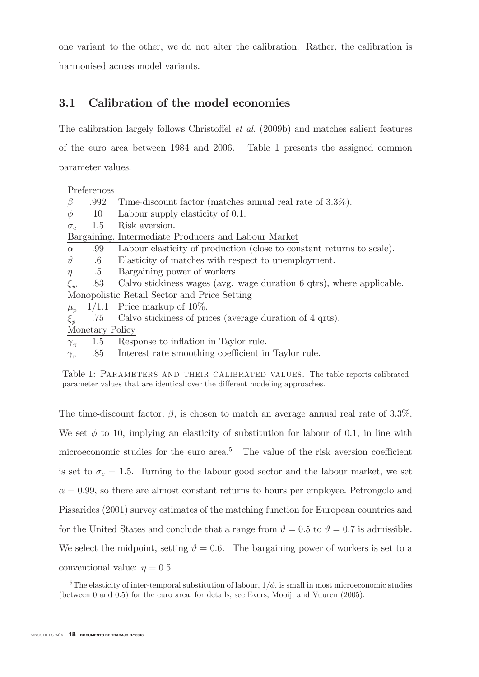one variant to the other, we do not alter the calibration. Rather, the calibration is harmonised across model variants.

## $3.1$ Calibration of the model economies

The calibration largely follows Christoffel *et al.* (2009b) and matches salient features of the euro area between 1984 and 2006. Table 1 presents the assigned common parameter values.

|                | Preferences     |                                                                       |
|----------------|-----------------|-----------------------------------------------------------------------|
| $\beta$        | .992            | Time-discount factor (matches annual real rate of $3.3\%$ ).          |
| $\phi$         | 10              | Labour supply elasticity of 0.1.                                      |
| $\sigma_{c}$   | 1.5             | Risk aversion.                                                        |
|                |                 | Bargaining, Intermediate Producers and Labour Market                  |
| $\alpha$       | .99             | Labour elasticity of production (close to constant returns to scale). |
| $\vartheta$    | $.6\,$          | Elasticity of matches with respect to unemployment.                   |
| $\eta$         | .5              | Bargaining power of workers                                           |
| $\xi_w$        | .83             | Calvo stickiness wages (avg. wage duration 6 qtrs), where applicable. |
|                |                 | Monopolistic Retail Sector and Price Setting                          |
| $\mu_p$        | 1/1.1           | Price markup of $10\%$ .                                              |
| $\xi_p$        | .75             | Calvo stickiness of prices (average duration of 4 qrts).              |
|                | Monetary Policy |                                                                       |
| $\gamma_{\pi}$ | 1.5             | Response to inflation in Taylor rule.                                 |
| $\gamma_r$     | .85             | Interest rate smoothing coefficient in Taylor rule.                   |
|                |                 |                                                                       |

Table 1: PARAMETERS AND THEIR CALIBRATED VALUES. The table reports calibrated parameter values that are identical over the different modeling approaches.

The time-discount factor,  $\beta$ , is chosen to match an average annual real rate of 3.3%. We set  $\phi$  to 10, implying an elasticity of substitution for labour of 0.1, in line with microeconomic studies for the euro area.<sup>5</sup> The value of the risk aversion coefficient is set to  $\sigma_c = 1.5$ . Turning to the labour good sector and the labour market, we set  $\alpha = 0.99$ , so there are almost constant returns to hours per employee. Petrongolo and Pissarides (2001) survey estimates of the matching function for European countries and for the United States and conclude that a range from  $\vartheta = 0.5$  to  $\vartheta = 0.7$  is admissible. We select the midpoint, setting  $\vartheta = 0.6$ . The bargaining power of workers is set to a conventional value:  $\eta = 0.5$ .

<sup>&</sup>lt;sup>5</sup>The elasticity of inter-temporal substitution of labour,  $1/\phi$ , is small in most microeconomic studies (between 0 and 0.5) for the euro area; for details, see Evers, Mooij, and Vuuren  $(2005)$ .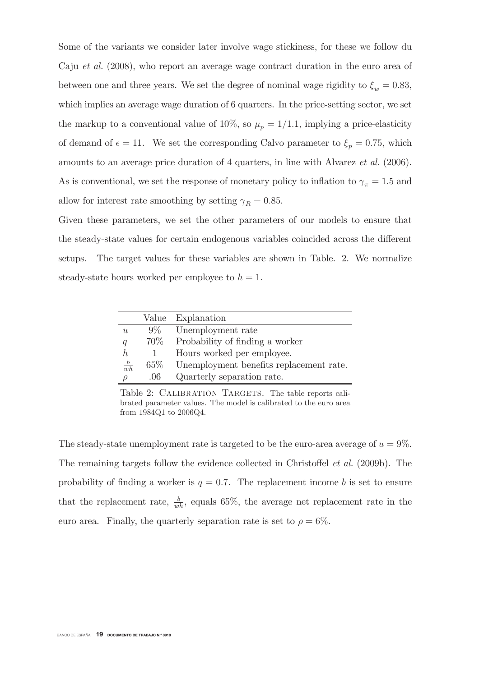Some of the variants we consider later involve wage stickiness, for these we follow du Caju *et al.* (2008), who report an average wage contract duration in the euro area of between one and three years. We set the degree of nominal wage rigidity to  $\xi_w = 0.83$ , which implies an average wage duration of 6 quarters. In the price-setting sector, we set the markup to a conventional value of 10%, so  $\mu_p = 1/1.1$ , implying a price-elasticity of demand of  $\epsilon = 11$ . We set the corresponding Calvo parameter to  $\xi_p = 0.75$ , which amounts to an average price duration of 4 quarters, in line with Alvarez *et al.* (2006). As is conventional, we set the response of monetary policy to inflation to  $\gamma_{\pi} = 1.5$  and allow for interest rate smoothing by setting  $\gamma_R = 0.85$ .

Given these parameters, we set the other parameters of our models to ensure that the steady-state values for certain endogenous variables coincided across the different setups. The target values for these variables are shown in Table. 2. We normalize steady-state hours worked per employee to  $h = 1$ .

|              | Value  | Explanation                             |
|--------------|--------|-----------------------------------------|
| u            | $9\%$  | Unemployment rate                       |
| q            | 70\%   | Probability of finding a worker         |
| h            |        | Hours worked per employee.              |
| $rac{b}{wh}$ | $65\%$ | Unemployment benefits replacement rate. |
| ρ            | .06    | Quarterly separation rate.              |

Table 2: CALIBRATION TARGETS. The table reports calibrated parameter values. The model is calibrated to the euro area from 1984Q1 to 2006Q4.

The steady-state unemployment rate is targeted to be the euro-area average of  $u = 9\%$ . The remaining targets follow the evidence collected in Christoffel *et al.* (2009b). The probability of finding a worker is  $q = 0.7$ . The replacement income b is set to ensure that the replacement rate,  $\frac{b}{wh}$ , equals 65%, the average net replacement rate in the euro area. Finally, the quarterly separation rate is set to  $\rho = 6\%$ .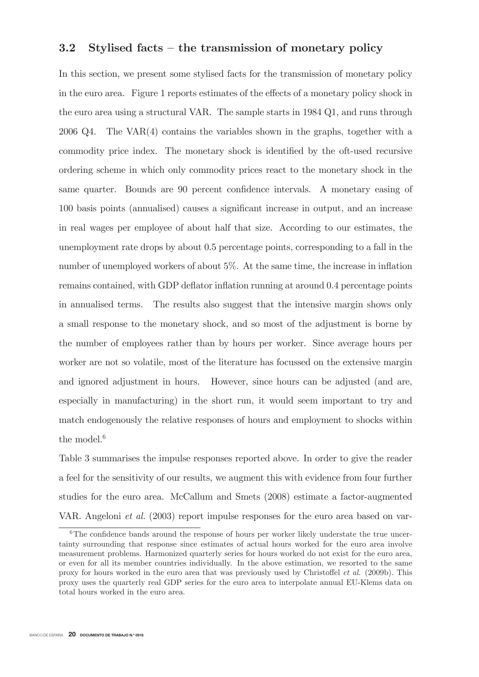### $3.2$ Stylised facts – the transmission of monetary policy

In this section, we present some stylised facts for the transmission of monetary policy in the euro area. Figure 1 reports estimates of the effects of a monetary policy shock in the euro area using a structural VAR. The sample starts in 1984 Q1, and runs through 2006 Q4. The VAR $(4)$  contains the variables shown in the graphs, together with a commodity price index. The monetary shock is identified by the oft-used recursive ordering scheme in which only commodity prices react to the monetary shock in the same quarter. Bounds are 90 percent confidence intervals. A monetary easing of 100 basis points (annualised) causes a significant increase in output, and an increase in real wages per employee of about half that size. According to our estimates, the unemployment rate drops by about 0.5 percentage points, corresponding to a fall in the number of unemployed workers of about 5%. At the same time, the increase in inflation remains contained, with GDP deflator inflation running at around 0.4 percentage points in annualised terms. The results also suggest that the intensive margin shows only a small response to the monetary shock, and so most of the adjustment is borne by the number of employees rather than by hours per worker. Since average hours per worker are not so volatile, most of the literature has focussed on the extensive margin and ignored adjustment in hours. However, since hours can be adjusted (and are, especially in manufacturing) in the short run, it would seem important to try and match endogenously the relative responses of hours and employment to shocks within the model. $6$ 

Table 3 summarises the impulse responses reported above. In order to give the reader a feel for the sensitivity of our results, we augment this with evidence from four further studies for the euro area. McCallum and Smets (2008) estimate a factor-augmented VAR. Angeloni *et al.* (2003) report impulse responses for the euro area based on var-

 $6$ The confidence bands around the response of hours per worker likely understate the true uncertainty surrounding that response since estimates of actual hours worked for the euro area involve measurement problems. Harmonized quarterly series for hours worked do not exist for the euro area, or even for all its member countries individually. In the above estimation, we resorted to the same proxy for hours worked in the euro area that was previously used by Christoffel *et al.* (2009b). This proxy uses the quarterly real GDP series for the euro area to interpolate annual EU-Klems data on total hours worked in the euro area.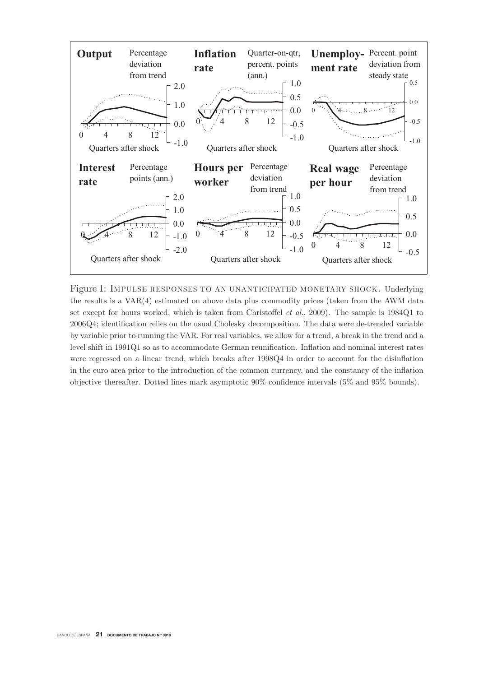

Figure 1: IMPULSE RESPONSES TO AN UNANTICIPATED MONETARY SHOCK. Underlying the results is a  $VAR(4)$  estimated on above data plus commodity prices (taken from the AWM data set except for hours worked, which is taken from Christoffel *et al.*, 2009). The sample is  $1984Q1$  to 2006Q4; identification relies on the usual Cholesky decomposition. The data were de-trended variable by variable prior to running the VAR. For real variables, we allow for a trend, a break in the trend and a level shift in 1991Q1 so as to accommodate German reunification. Inflation and nominal interest rates were regressed on a linear trend, which breaks after  $1998Q4$  in order to account for the disinflation in the euro area prior to the introduction of the common currency, and the constancy of the inflation objective thereafter. Dotted lines mark asymptotic  $90\%$  confidence intervals (5% and 95% bounds).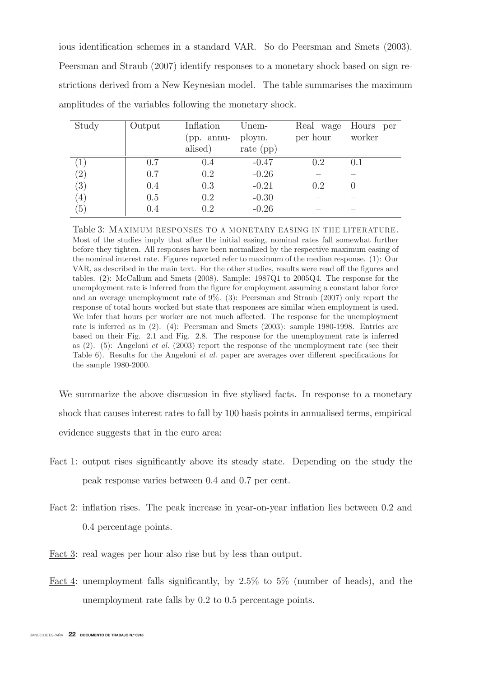ious identification schemes in a standard VAR. So do Peersman and Smets (2003). Peersman and Straub (2007) identify responses to a monetary shock based on sign restrictions derived from a New Keynesian model. The table summarises the maximum amplitudes of the variables following the monetary shock.

| Study             | Output | Inflation  | Unem-       |          | Real wage Hours per |
|-------------------|--------|------------|-------------|----------|---------------------|
|                   |        | (pp. annu- | ploym.      | per hour | worker              |
|                   |        | alised)    | rate $(pp)$ |          |                     |
| $\perp$           | 0.7    | 0.4        | $-0.47$     | 0.2      | 0.1                 |
| $\left( 2\right)$ | 0.7    | 0.2        | $-0.26$     |          |                     |
| $\left( 3\right)$ | 0.4    | 0.3        | $-0.21$     | 0.2      |                     |
| (4)               | 0.5    | 0.2        | $-0.30$     |          |                     |
| $\left(5\right)$  | 0.4    | 0.2        | $-0.26$     |          |                     |

Table 3: MAXIMUM RESPONSES TO A MONETARY EASING IN THE LITERATURE. Most of the studies imply that after the initial easing, nominal rates fall somewhat further before they tighten. All responses have been normalized by the respective maximum easing of the nominal interest rate. Figures reported refer to maximum of the median response. (1): Our VAR, as described in the main text. For the other studies, results were read off the figures and tables. (2): McCallum and Smets (2008). Sample:  $1987Q1$  to  $2005Q4$ . The response for the unemployment rate is inferred from the figure for employment assuming a constant labor force and an average unemployment rate of  $9\%$ . (3): Peersman and Straub (2007) only report the response of total hours worked but state that responses are similar when employment is used. We infer that hours per worker are not much affected. The response for the unemployment rate is inferred as in  $(2)$ .  $(4)$ : Peersman and Smets  $(2003)$ : sample 1980-1998. Entries are based on their Fig. 2.1 and Fig. 2.8. The response for the unemployment rate is inferred as  $(2)$ . (5): Angeloni *et al.* (2003) report the response of the unemployment rate (see their Table 6). Results for the Angeloni *et al.* paper are averages over different specifications for the sample  $1980-2000$ .

We summarize the above discussion in five stylised facts. In response to a monetary shock that causes interest rates to fall by 100 basis points in annualised terms, empirical evidence suggests that in the euro area.

- Fact 1: output rises significantly above its steady state. Depending on the study the peak response varies between 0.4 and 0.7 per cent.
- Fact 2: inflation rises. The peak increase in year-on-year inflation lies between 0.2 and 0.4 percentage points.
- Fact 3: real wages per hour also rise but by less than output.
- Fact 4: unemployment falls significantly, by  $2.5\%$  to  $5\%$  (number of heads), and the unemployment rate falls by  $0.2$  to  $0.5$  percentage points.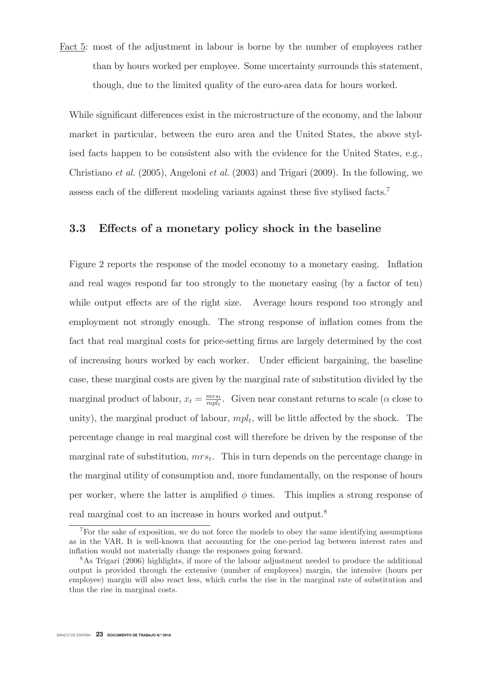Fact 5: most of the adjustment in labour is borne by the number of employees rather than by hours worked per employee. Some uncertainty surrounds this statement, though, due to the limited quality of the euro-area data for hours worked.

While significant differences exist in the microstructure of the economy, and the labour market in particular, between the euro area and the United States, the above stylised facts happen to be consistent also with the evidence for the United States, e.g., Christiano *et al.* (2005), Angeloni *et al.* (2003) and Trigari (2009). In the following, we assess each of the different modeling variants against these five stylised facts.<sup>7</sup>

### Effects of a monetary policy shock in the baseline 3.3

Figure 2 reports the response of the model economy to a monetary easing. Inflation and real wages respond far too strongly to the monetary easing (by a factor of ten) while output effects are of the right size. Average hours respond too strongly and employment not strongly enough. The strong response of inflation comes from the fact that real marginal costs for price-setting firms are largely determined by the cost of increasing hours worked by each worker. Under efficient bargaining, the baseline case, these marginal costs are given by the marginal rate of substitution divided by the marginal product of labour,  $x_t = \frac{mrs_t}{mpl_t}$ . Given near constant returns to scale ( $\alpha$  close to unity), the marginal product of labour,  $mpl_t$ , will be little affected by the shock. The percentage change in real marginal cost will therefore be driven by the response of the marginal rate of substitution,  $mrs_t$ . This in turn depends on the percentage change in the marginal utility of consumption and, more fundamentally, on the response of hours per worker, where the latter is amplified  $\phi$  times. This implies a strong response of real marginal cost to an increase in hours worked and output.<sup>8</sup>

 $\sqrt{7}$  For the sake of exposition, we do not force the models to obey the same identifying assumptions as in the VAR. It is well-known that accounting for the one-period lag between interest rates and inflation would not materially change the responses going forward.

 $8$ As Trigari (2006) highlights, if more of the labour adjustment needed to produce the additional output is provided through the extensive (number of employees) margin, the intensive (hours per employee) margin will also react less, which curbs the rise in the marginal rate of substitution and thus the rise in marginal costs.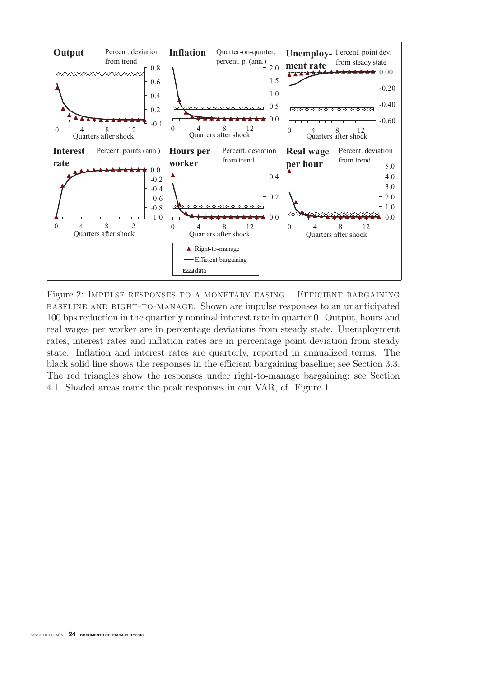

Figure 2: IMPULSE RESPONSES TO A MONETARY EASING - EFFICIENT BARGAINING BASELINE AND RIGHT-TO-MANAGE. Shown are impulse responses to an unanticipated 100 bps reduction in the quarterly nominal interest rate in quarter 0. Output, hours and real wages per worker are in percentage deviations from steady state. Unemployment rates, interest rates and inflation rates are in percentage point deviation from steady state. Inflation and interest rates are quarterly, reported in annualized terms. The black solid line shows the responses in the efficient bargaining baseline; see Section 3.3. The red triangles show the responses under right-to-manage bargaining; see Section 4.1. Shaded areas mark the peak responses in our VAR, cf. Figure 1.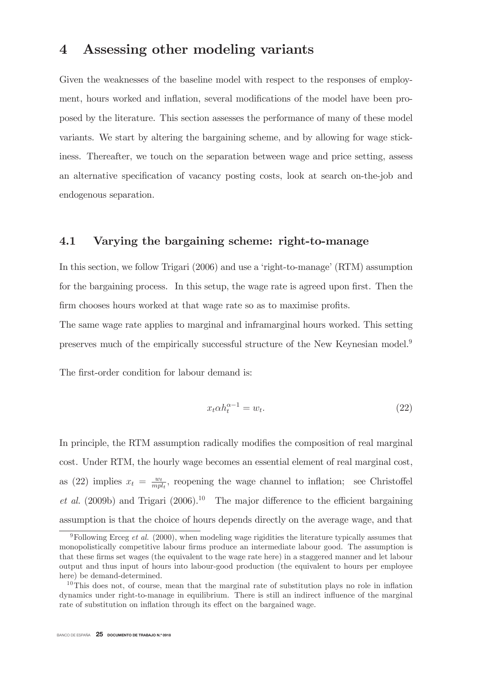## Assessing other modeling variants  $\boldsymbol{4}$

Given the weaknesses of the baseline model with respect to the responses of employment, hours worked and inflation, several modifications of the model have been proposed by the literature. This section assesses the performance of many of these model variants. We start by altering the bargaining scheme, and by allowing for wage stickiness. Thereafter, we touch on the separation between wage and price setting, assess an alternative specification of vacancy posting costs, look at search on-the-job and endogenous separation.

### 4.1 Varying the bargaining scheme: right-to-manage

In this section, we follow Trigari (2006) and use a 'right-to-manage' (RTM) assumption for the bargaining process. In this setup, the wage rate is agreed upon first. Then the firm chooses hours worked at that wage rate so as to maximise profits.

The same wage rate applies to marginal and inframarginal hours worked. This setting preserves much of the empirically successful structure of the New Keynesian model.<sup>9</sup>

The first-order condition for labour demand is:

$$
x_t \alpha h_t^{\alpha - 1} = w_t. \tag{22}
$$

In principle, the RTM assumption radically modifies the composition of real marginal cost. Under RTM, the hourly wage becomes an essential element of real marginal cost, as (22) implies  $x_t = \frac{w_t}{mpl_t}$ , reopening the wage channel to inflation; see Christoffel *et al.* (2009b) and Trigari (2006).<sup>10</sup> The major difference to the efficient bargaining assumption is that the choice of hours depends directly on the average wage, and that

<sup>&</sup>lt;sup>9</sup>Following Erceg *et al.* (2000), when modeling wage rigidities the literature typically assumes that monopolistically competitive labour firms produce an intermediate labour good. The assumption is that these firms set wages (the equivalent to the wage rate here) in a staggered manner and let labour output and thus input of hours into labour-good production (the equivalent to hours per employee here) be demand-determined.

 $10$ This does not, of course, mean that the marginal rate of substitution plays no role in inflation dynamics under right-to-manage in equilibrium. There is still an indirect influence of the marginal rate of substitution on inflation through its effect on the bargained wage.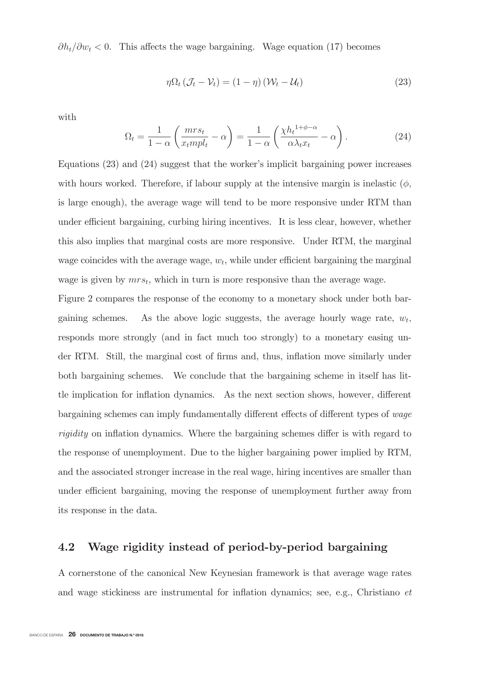$\partial h_t/\partial w_t < 0$ . This affects the wage bargaining. Wage equation (17) becomes

$$
\eta \Omega_t \left( \mathcal{J}_t - \mathcal{V}_t \right) = (1 - \eta) \left( \mathcal{W}_t - \mathcal{U}_t \right) \tag{23}
$$

with

$$
\Omega_t = \frac{1}{1 - \alpha} \left( \frac{mrs_t}{x_t mpl_t} - \alpha \right) = \frac{1}{1 - \alpha} \left( \frac{\chi h_t^{1 + \phi - \alpha}}{\alpha \lambda_t x_t} - \alpha \right). \tag{24}
$$

Equations  $(23)$  and  $(24)$  suggest that the worker's implicit bargaining power increases with hours worked. Therefore, if labour supply at the intensive margin is inelastic  $(\phi,$ is large enough), the average wage will tend to be more responsive under RTM than under efficient bargaining, curbing hiring incentives. It is less clear, however, whether this also implies that marginal costs are more responsive. Under RTM, the marginal wage coincides with the average wage,  $w_t$ , while under efficient bargaining the marginal wage is given by  $mrs_t$ , which in turn is more responsive than the average wage.

Figure 2 compares the response of the economy to a monetary shock under both bar-As the above logic suggests, the average hourly wage rate,  $w_t$ , gaining schemes. responds more strongly (and in fact much too strongly) to a monetary easing under RTM. Still, the marginal cost of firms and, thus, inflation move similarly under both bargaining schemes. We conclude that the bargaining scheme in itself has litthe implication for inflation dynamics. As the next section shows, however, different bargaining schemes can imply fundamentally different effects of different types of *wage rigidity* on inflation dynamics. Where the bargaining schemes differ is with regard to the response of unemployment. Due to the higher bargaining power implied by RTM, and the associated stronger increase in the real wage, hiring incentives are smaller than under efficient bargaining, moving the response of unemployment further away from its response in the data.

### 4.2 Wage rigidity instead of period-by-period bargaining

A cornerstone of the canonical New Keynesian framework is that average wage rates and wage stickiness are instrumental for inflation dynamics; see, e.g., Christiano et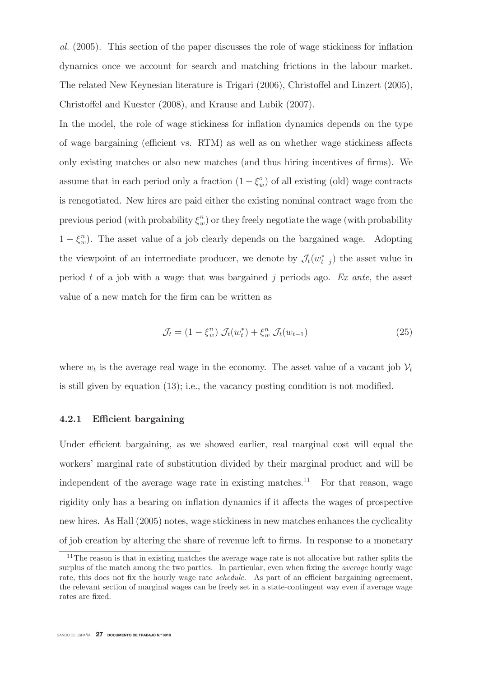al. (2005). This section of the paper discusses the role of wage stickiness for inflation dynamics once we account for search and matching frictions in the labour market. The related New Keynesian literature is Trigari (2006), Christoffel and Linzert (2005), Christoffel and Kuester (2008), and Krause and Lubik (2007).

In the model, the role of wage stickiness for inflation dynamics depends on the type of wage bargaining (efficient vs. RTM) as well as on whether wage stickiness affects only existing matches or also new matches (and thus hiring incentives of firms). We assume that in each period only a fraction  $(1 - \xi_w^o)$  of all existing (old) wage contracts is renegotiated. New hires are paid either the existing nominal contract wage from the previous period (with probability  $\xi_w^n$ ) or they freely negotiate the wage (with probability  $1 - \xi_w^n$ ). The asset value of a job clearly depends on the bargained wage. Adopting the viewpoint of an intermediate producer, we denote by  $\mathcal{J}_t(w_{t-i}^*)$  the asset value in period t of a job with a wage that was bargained j periods ago. Ex ante, the asset value of a new match for the firm can be written as

$$
\mathcal{J}_t = (1 - \xi_w^n) \mathcal{J}_t(w_t^*) + \xi_w^n \mathcal{J}_t(w_{t-1}) \tag{25}
$$

where  $w_t$  is the average real wage in the economy. The asset value of a vacant job  $V_t$ is still given by equation  $(13)$ ; i.e., the vacancy posting condition is not modified.

#### $4.2.1$ Efficient bargaining

Under efficient bargaining, as we showed earlier, real marginal cost will equal the workers' marginal rate of substitution divided by their marginal product and will be independent of the average wage rate in existing matches.<sup>11</sup> For that reason, wage rigidity only has a bearing on inflation dynamics if it affects the wages of prospective new hires. As Hall (2005) notes, wage stickiness in new matches enhances the cyclicality of job creation by altering the share of revenue left to firms. In response to a monetary

 $11$ The reason is that in existing matches the average wage rate is not allocative but rather splits the surplus of the match among the two parties. In particular, even when fixing the *average* hourly wage rate, this does not fix the hourly wage rate *schedule*. As part of an efficient bargaining agreement, the relevant section of marginal wages can be freely set in a state-contingent way even if average wage rates are fixed.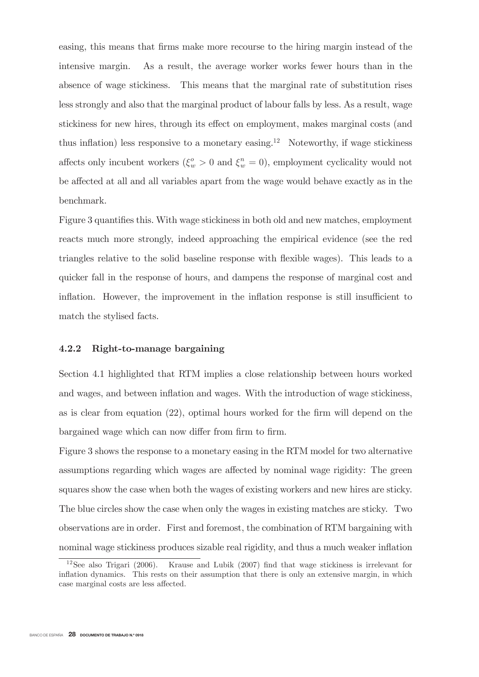easing, this means that firms make more recourse to the hiring margin instead of the intensive margin. As a result, the average worker works fewer hours than in the absence of wage stickiness. This means that the marginal rate of substitution rises less strongly and also that the marginal product of labour falls by less. As a result, wage stickiness for new hires, through its effect on employment, makes marginal costs (and thus inflation) less responsive to a monetary easing.<sup>12</sup> Noteworthy, if wage stickiness affects only incubent workers  $(\xi_w^o > 0 \text{ and } \xi_w^n = 0)$ , employment cyclicality would not be affected at all and all variables apart from the wage would behave exactly as in the benchmark.

Figure 3 quantifies this. With wage stickiness in both old and new matches, employment reacts much more strongly, indeed approaching the empirical evidence (see the red triangles relative to the solid baseline response with flexible wages). This leads to a quicker fall in the response of hours, and dampens the response of marginal cost and inflation. However, the improvement in the inflation response is still insufficient to match the stylised facts.

### $\bf 4.2.2$ Right-to-manage bargaining

Section 4.1 highlighted that RTM implies a close relationship between hours worked and wages, and between inflation and wages. With the introduction of wage stickiness, as is clear from equation  $(22)$ , optimal hours worked for the firm will depend on the bargained wage which can now differ from firm to firm.

Figure 3 shows the response to a monetary easing in the RTM model for two alternative assumptions regarding which wages are affected by nominal wage rigidity: The green squares show the case when both the wages of existing workers and new hires are sticky. The blue circles show the case when only the wages in existing matches are sticky. Two observations are in order. First and foremost, the combination of RTM bargaining with nominal wage stickiness produces sizable real rigidity, and thus a much weaker inflation

 $12$ See also Trigari (2006). Krause and Lubik  $(2007)$  find that wage stickiness is irrelevant for inflation dynamics. This rests on their assumption that there is only an extensive margin, in which case marginal costs are less affected.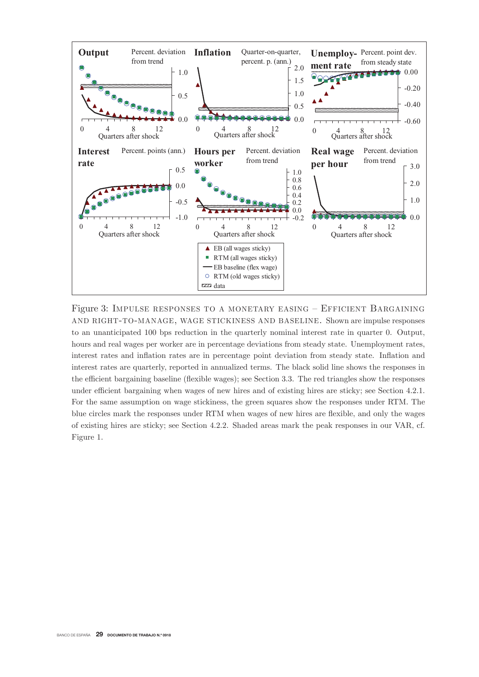

Figure 3: IMPULSE RESPONSES TO A MONETARY EASING – EFFICIENT BARGAINING AND RIGHT-TO-MANAGE, WAGE STICKINESS AND BASELINE. Shown are impulse responses to an unanticipated 100 bps reduction in the quarterly nominal interest rate in quarter 0. Output, hours and real wages per worker are in percentage deviations from steady state. Unemployment rates, interest rates and inflation rates are in percentage point deviation from steady state. Inflation and interest rates are quarterly, reported in annualized terms. The black solid line shows the responses in the efficient bargaining baseline (flexible wages); see Section 3.3. The red triangles show the responses under efficient bargaining when wages of new hires and of existing hires are sticky; see Section 4.2.1. For the same assumption on wage stickiness, the green squares show the responses under RTM. The blue circles mark the responses under RTM when wages of new hires are flexible, and only the wages of existing hires are sticky; see Section 4.2.2. Shaded areas mark the peak responses in our VAR, cf. Figure 1.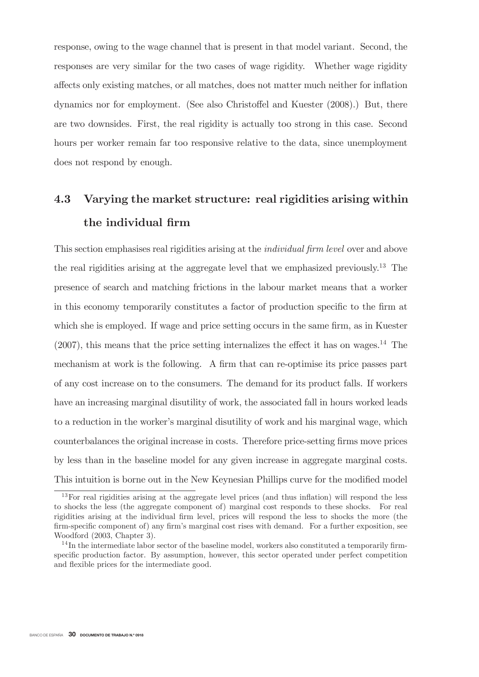response, owing to the wage channel that is present in that model variant. Second, the responses are very similar for the two cases of wage rigidity. Whether wage rigidity affects only existing matches, or all matches, does not matter much neither for inflation dynamics nor for employment. (See also Christoffel and Kuester (2008).) But, there are two downsides. First, the real rigidity is actually too strong in this case. Second hours per worker remain far too responsive relative to the data, since unemployment does not respond by enough.

## Varying the market structure: real rigidities arising within 4.3 the individual firm

This section emphasises real rigidities arising at the *individual firm level* over and above the real rigidities arising at the aggregate level that we emphasized previously.<sup>13</sup> The presence of search and matching frictions in the labour market means that a worker in this economy temporarily constitutes a factor of production specific to the firm at which she is employed. If wage and price setting occurs in the same firm, as in Kuester  $(2007)$ , this means that the price setting internalizes the effect it has on wages.<sup>14</sup> The mechanism at work is the following. A firm that can re-optimise its price passes part of any cost increase on to the consumers. The demand for its product falls. If workers have an increasing marginal disutility of work, the associated fall in hours worked leads to a reduction in the worker's marginal disutility of work and his marginal wage, which counterbalances the original increase in costs. Therefore price-setting firms move prices by less than in the baseline model for any given increase in aggregate marginal costs. This intuition is borne out in the New Keynesian Phillips curve for the modified model

 $13$  For real rigidities arising at the aggregate level prices (and thus inflation) will respond the less to shocks the less (the aggregate component of) marginal cost responds to these shocks. For real rigidities arising at the individual firm level, prices will respond the less to shocks the more (the firm-specific component of) any firm's marginal cost rises with demand. For a further exposition, see Woodford (2003, Chapter 3).

 $14$ In the intermediate labor sector of the baseline model, workers also constituted a temporarily firmspecific production factor. By assumption, however, this sector operated under perfect competition and flexible prices for the intermediate good.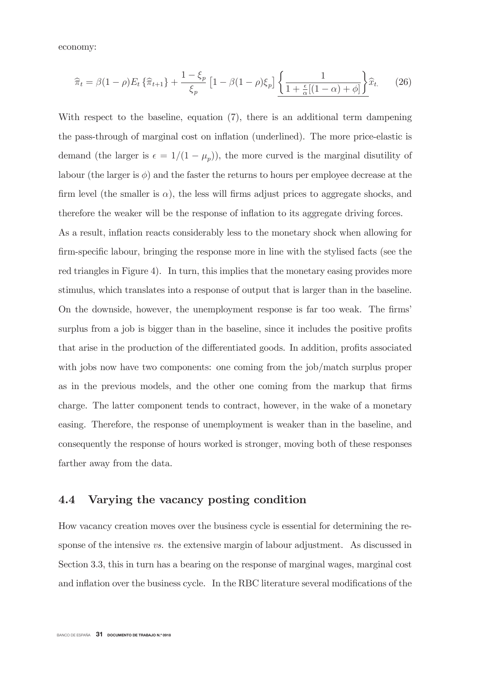economy:

$$
\widehat{\pi}_t = \beta(1-\rho)E_t\left\{\widehat{\pi}_{t+1}\right\} + \frac{1-\xi_p}{\xi_p}\left[1-\beta(1-\rho)\xi_p\right]\underbrace{\left\{\frac{1}{1+\frac{\epsilon}{\alpha}\left[(1-\alpha)+\phi\right]}\right\}}_{\text{max}}\widehat{x}_t. \tag{26}
$$

With respect to the baseline, equation  $(7)$ , there is an additional term dampening the pass-through of marginal cost on inflation (underlined). The more price-elastic is demand (the larger is  $\epsilon = 1/(1 - \mu_p)$ ), the more curved is the marginal disutility of labour (the larger is  $\phi$ ) and the faster the returns to hours per employee decrease at the firm level (the smaller is  $\alpha$ ), the less will firms adjust prices to aggregate shocks, and therefore the weaker will be the response of inflation to its aggregate driving forces.

As a result, inflation reacts considerably less to the monetary shock when allowing for firm-specific labour, bringing the response more in line with the stylised facts (see the red triangles in Figure 4). In turn, this implies that the monetary easing provides more stimulus, which translates into a response of output that is larger than in the baseline. On the downside, however, the unemployment response is far too weak. The firms' surplus from a job is bigger than in the baseline, since it includes the positive profits that arise in the production of the differentiated goods. In addition, profits associated with jobs now have two components: one coming from the  $j_{\text{ob}}/$  match surplus proper as in the previous models, and the other one coming from the markup that firms charge. The latter component tends to contract, however, in the wake of a monetary easing. Therefore, the response of unemployment is weaker than in the baseline, and consequently the response of hours worked is stronger, moving both of these responses farther away from the data.

## 4.4 Varying the vacancy posting condition

How vacancy creation moves over the business cycle is essential for determining the response of the intensive  $vs.$  the extensive margin of labour adjustment. As discussed in Section 3.3, this in turn has a bearing on the response of marginal wages, marginal cost and inflation over the business cycle. In the RBC literature several modifications of the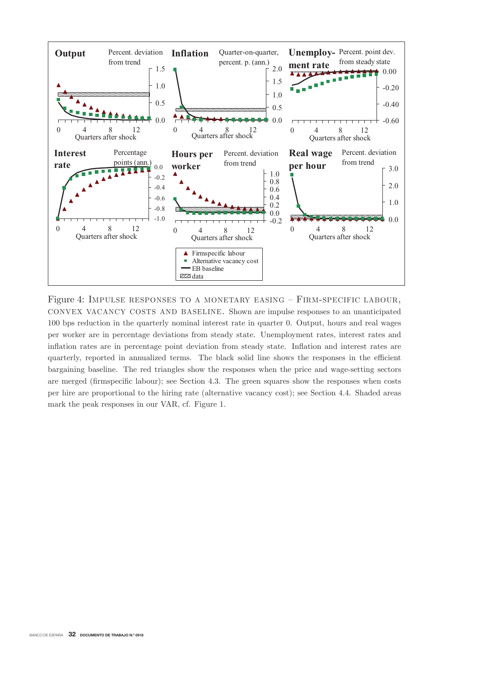

Figure 4: IMPULSE RESPONSES TO A MONETARY EASING  $-$  FIRM-SPECIFIC LABOUR, CONVEX VACANCY COSTS AND BASELINE. Shown are impulse responses to an unanticipated 100 bps reduction in the quarterly nominal interest rate in quarter 0. Output, hours and real wages per worker are in percentage deviations from steady state. Unemployment rates, interest rates and inflation rates are in percentage point deviation from steady state. Inflation and interest rates are quarterly, reported in annualized terms. The black solid line shows the responses in the efficient bargaining baseline. The red triangles show the responses when the price and wage-setting sectors are merged (firmspecific labour); see Section 4.3. The green squares show the responses when costs per hire are proportional to the hiring rate (alternative vacancy cost); see Section 4.4. Shaded areas mark the peak responses in our VAR, cf. Figure 1.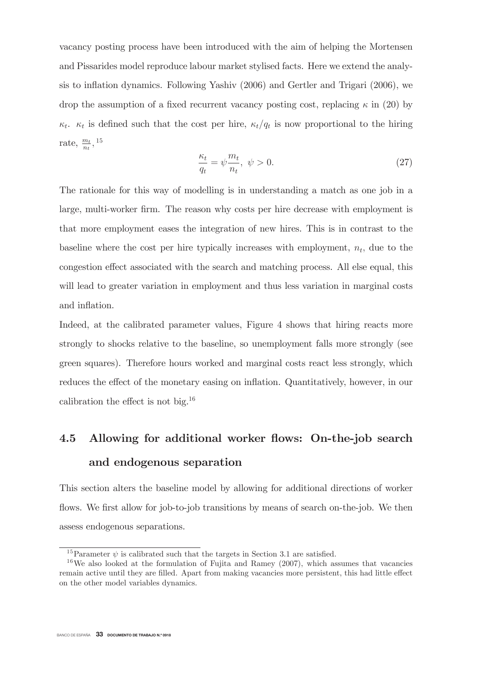vacancy posting process have been introduced with the aim of helping the Mortensen and Pissarides model reproduce labour market stylised facts. Here we extend the analysis to inflation dynamics. Following Yashiv (2006) and Gertler and Trigari (2006), we drop the assumption of a fixed recurrent vacancy posting cost, replacing  $\kappa$  in (20) by  $\kappa_t$ .  $\kappa_t$  is defined such that the cost per hire,  $\kappa_t/q_t$  is now proportional to the hiring rate,  $\frac{m_t}{n_t}$ , <sup>15</sup>

$$
\frac{\kappa_t}{q_t} = \psi \frac{m_t}{n_t}, \ \psi > 0. \tag{27}
$$

The rationale for this way of modelling is in understanding a match as one job in a large, multi-worker firm. The reason why costs per hire decrease with employment is that more employment eases the integration of new hires. This is in contrast to the baseline where the cost per hire typically increases with employment,  $n_t$ , due to the congestion effect associated with the search and matching process. All else equal, this will lead to greater variation in employment and thus less variation in marginal costs and inflation.

Indeed, at the calibrated parameter values, Figure 4 shows that hiring reacts more strongly to shocks relative to the baseline, so unemployment falls more strongly (see green squares). Therefore hours worked and marginal costs react less strongly, which reduces the effect of the monetary easing on inflation. Quantitatively, however, in our calibration the effect is not big.<sup>16</sup>

## 4.5 Allowing for additional worker flows: On-the-job search and endogenous separation

This section alters the baseline model by allowing for additional directions of worker flows. We first allow for job-to-job transitions by means of search on-the-job. We then assess endogenous separations.

<sup>&</sup>lt;sup>15</sup>Parameter  $\psi$  is calibrated such that the targets in Section 3.1 are satisfied.

 $16$ We also looked at the formulation of Fujita and Ramey (2007), which assumes that vacancies remain active until they are filled. Apart from making vacancies more persistent, this had little effect on the other model variables dynamics.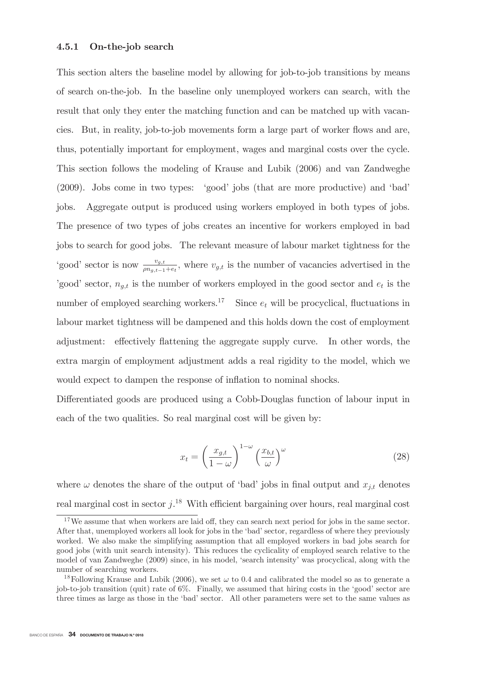#### 4.5.1 On-the-job search

This section alters the baseline model by allowing for job-to-job transitions by means of search on-the-job. In the baseline only unemployed workers can search, with the result that only they enter the matching function and can be matched up with vacancies. But, in reality, job-to-job movements form a large part of worker flows and are, thus, potentially important for employment, wages and marginal costs over the cycle. This section follows the modeling of Krause and Lubik (2006) and van Zandweghe (2009). Jobs come in two types: 'good' jobs (that are more productive) and 'bad' Aggregate output is produced using workers employed in both types of jobs. jobs. The presence of two types of jobs creates an incentive for workers employed in bad jobs to search for good jobs. The relevant measure of labour market tightness for the 'good' sector is now  $\frac{v_{g,t}}{\rho n_{g,t-1}+e_t}$ , where  $v_{g,t}$  is the number of vacancies advertised in the 'good' sector,  $n_{g,t}$  is the number of workers employed in the good sector and  $e_t$  is the number of employed searching workers.<sup>17</sup> Since  $e_t$  will be procyclical, fluctuations in labour market tightness will be dampened and this holds down the cost of employment adjustment: effectively flattening the aggregate supply curve. In other words, the extra margin of employment adjustment adds a real rigidity to the model, which we would expect to dampen the response of inflation to nominal shocks.

Differentiated goods are produced using a Cobb-Douglas function of labour input in each of the two qualities. So real marginal cost will be given by:

$$
x_t = \left(\frac{x_{g,t}}{1-\omega}\right)^{1-\omega} \left(\frac{x_{b,t}}{\omega}\right)^{\omega}
$$
 (28)

where  $\omega$  denotes the share of the output of 'bad' jobs in final output and  $x_{j,t}$  denotes real marginal cost in sector  $j$ .<sup>18</sup> With efficient bargaining over hours, real marginal cost

 $17$  We assume that when workers are laid off, they can search next period for jobs in the same sector. After that, unemployed workers all look for jobs in the 'bad' sector, regardless of where they previously worked. We also make the simplifying assumption that all employed workers in bad jobs search for good jobs (with unit search intensity). This reduces the cyclicality of employed search relative to the model of van Zandweghe (2009) since, in his model, 'search intensity' was procyclical, along with the number of searching workers.

<sup>&</sup>lt;sup>18</sup> Following Krause and Lubik (2006), we set  $\omega$  to 0.4 and calibrated the model so as to generate a job-to-job transition (quit) rate of 6%. Finally, we assumed that hiring costs in the 'good' sector are three times as large as those in the 'bad' sector. All other parameters were set to the same values as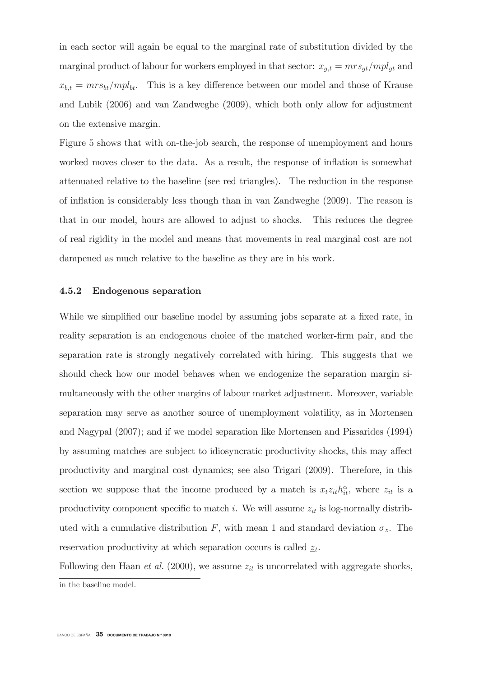in each sector will again be equal to the marginal rate of substitution divided by the marginal product of labour for workers employed in that sector:  $x_{g,t} = mrs_{gt}/mpl_{gt}$  and  $x_{b,t} = mrs_{bt}/mpl_{bt}$ . This is a key difference between our model and those of Krause and Lubik (2006) and van Zandweghe (2009), which both only allow for adjustment on the extensive margin.

Figure 5 shows that with on-the-job search, the response of unemployment and hours worked moves closer to the data. As a result, the response of inflation is somewhat attenuated relative to the baseline (see red triangles). The reduction in the response of inflation is considerably less though than in van Zandweghe (2009). The reason is that in our model, hours are allowed to adjust to shocks. This reduces the degree of real rigidity in the model and means that movements in real marginal cost are not dampened as much relative to the baseline as they are in his work.

#### 4.5.2 Endogenous separation

While we simplified our baseline model by assuming jobs separate at a fixed rate, in reality separation is an endogenous choice of the matched worker-firm pair, and the separation rate is strongly negatively correlated with hiring. This suggests that we should check how our model behaves when we endogenize the separation margin simultaneously with the other margins of labour market adjustment. Moreover, variable separation may serve as another source of unemployment volatility, as in Mortensen and Nagypal (2007); and if we model separation like Mortensen and Pissarides (1994) by assuming matches are subject to idiosyncratic productivity shocks, this may affect productivity and marginal cost dynamics; see also Trigari (2009). Therefore, in this section we suppose that the income produced by a match is  $x_t z_{it} h_{it}^{\alpha}$ , where  $z_{it}$  is a productivity component specific to match i. We will assume  $z_{it}$  is log-normally distributed with a cumulative distribution F, with mean 1 and standard deviation  $\sigma_z$ . The reservation productivity at which separation occurs is called  $\underline{z}_t$ .

Following den Haan *et al.* (2000), we assume  $z_{it}$  is uncorrelated with aggregate shocks,

in the baseline model.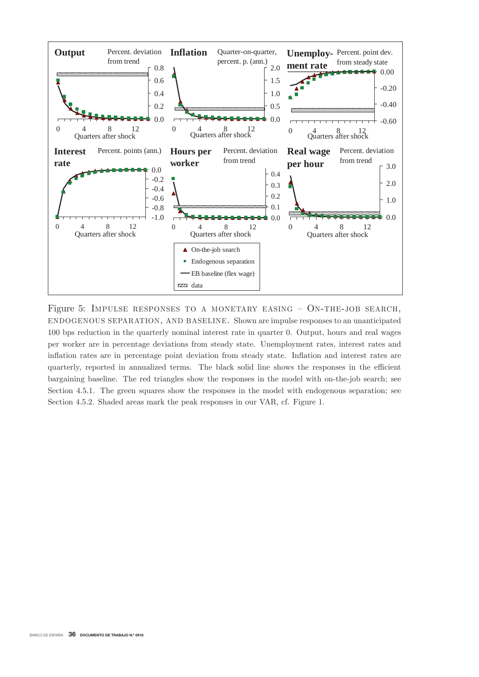

Figure 5: IMPULSE RESPONSES TO A MONETARY EASING  $-$  ON-THE-JOB SEARCH, ENDOGENOUS SEPARATION, AND BASELINE. Shown are impulse responses to an unanticipated 100 bps reduction in the quarterly nominal interest rate in quarter 0. Output, hours and real wages per worker are in percentage deviations from steady state. Unemployment rates, interest rates and inflation rates are in percentage point deviation from steady state. Inflation and interest rates are quarterly, reported in annualized terms. The black solid line shows the responses in the efficient bargaining baseline. The red triangles show the responses in the model with on-the-job search; see Section 4.5.1. The green squares show the responses in the model with endogenous separation; see Section 4.5.2. Shaded areas mark the peak responses in our VAR, cf. Figure 1.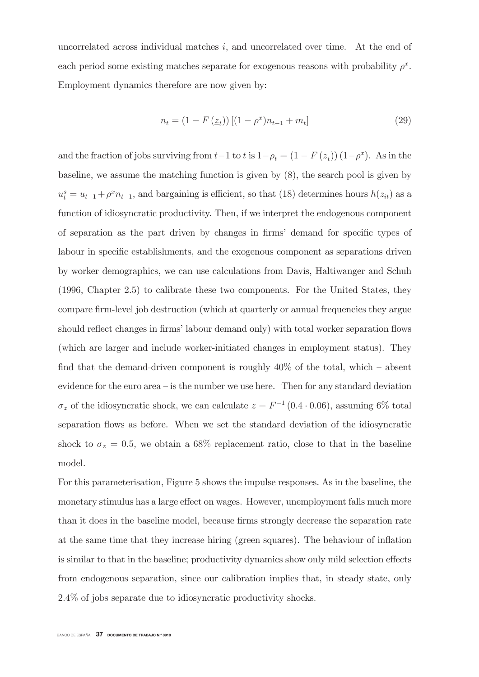uncorrelated across individual matches  $i$ , and uncorrelated over time. At the end of each period some existing matches separate for exogenous reasons with probability  $\rho^x$ . Employment dynamics therefore are now given by:

$$
n_t = (1 - F(z_t))[(1 - \rho^x)n_{t-1} + m_t]
$$
\n(29)

and the fraction of jobs surviving from  $t-1$  to t is  $1-\rho_t = (1 - F(\underline{z_t})) (1-\rho^x)$ . As in the baseline, we assume the matching function is given by  $(8)$ , the search pool is given by  $u_t^s = u_{t-1} + \rho^x n_{t-1}$ , and bargaining is efficient, so that (18) determines hours  $h(z_{it})$  as a function of idiosyncratic productivity. Then, if we interpret the endogenous component of separation as the part driven by changes in firms' demand for specific types of labour in specific establishments, and the exogenous component as separations driven by worker demographics, we can use calculations from Davis, Haltiwanger and Schuh  $(1996, Chapter 2.5)$  to calibrate these two components. For the United States, they compare firm-level job destruction (which at quarterly or annual frequencies they argue should reflect changes in firms' labour demand only) with total worker separation flows (which are larger and include worker-initiated changes in employment status). They find that the demand-driven component is roughly  $40\%$  of the total, which – absent evidence for the euro area  $-$  is the number we use here. Then for any standard deviation  $\sigma_z$  of the idiosyncratic shock, we can calculate  $\underline{z} = F^{-1}(0.4 \cdot 0.06)$ , assuming 6% total separation flows as before. When we set the standard deviation of the idiosyncratic shock to  $\sigma_z = 0.5$ , we obtain a 68% replacement ratio, close to that in the baseline model.

For this parameterisation, Figure 5 shows the impulse responses. As in the baseline, the monetary stimulus has a large effect on wages. However, unemployment falls much more than it does in the baseline model, because firms strongly decrease the separation rate at the same time that they increase hiring (green squares). The behaviour of inflation is similar to that in the baseline; productivity dynamics show only mild selection effects from endogenous separation, since our calibration implies that, in steady state, only 2.4% of jobs separate due to idiosyncratic productivity shocks.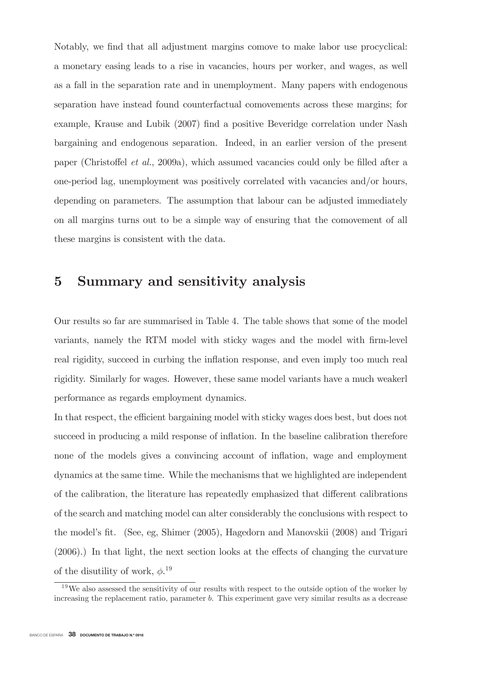Notably, we find that all adjustment margins comove to make labor use procyclical: a monetary easing leads to a rise in vacancies, hours per worker, and wages, as well as a fall in the separation rate and in unemployment. Many papers with endogenous separation have instead found counterfactual comovements across these margins; for example, Krause and Lubik (2007) find a positive Beveridge correlation under Nash bargaining and endogenous separation. Indeed, in an earlier version of the present paper (Christoffel *et al.*, 2009a), which assumed vacancies could only be filled after a one-period lag, unemployment was positively correlated with vacancies and/or hours, depending on parameters. The assumption that labour can be adjusted immediately on all margins turns out to be a simple way of ensuring that the comovement of all these margins is consistent with the data.

# 5 Summary and sensitivity analysis

Our results so far are summarised in Table 4. The table shows that some of the model variants, namely the RTM model with sticky wages and the model with firm-level real rigidity, succeed in curbing the inflation response, and even imply too much real rigidity. Similarly for wages. However, these same model variants have a much weakerl performance as regards employment dynamics.

In that respect, the efficient bargaining model with sticky wages does best, but does not succeed in producing a mild response of inflation. In the baseline calibration therefore none of the models gives a convincing account of inflation, wage and employment dynamics at the same time. While the mechanisms that we highlighted are independent of the calibration, the literature has repeatedly emphasized that different calibrations of the search and matching model can alter considerably the conclusions with respect to the model's fit. (See, eg, Shimer (2005), Hagedorn and Manovskii (2008) and Trigari  $(2006)$ .) In that light, the next section looks at the effects of changing the curvature of the disutility of work,  $\phi$ <sup>19</sup>

 $^{19}$ We also assessed the sensitivity of our results with respect to the outside option of the worker by increasing the replacement ratio, parameter  $b$ . This experiment gave very similar results as a decrease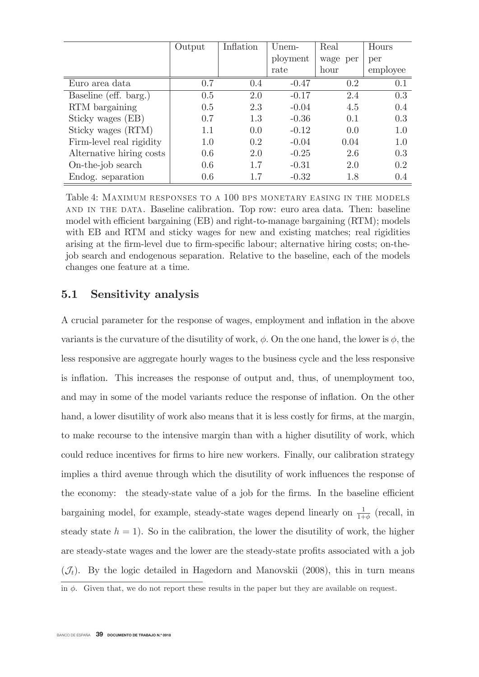|                          | Output | Inflation | Unem-    | Real     | Hours    |
|--------------------------|--------|-----------|----------|----------|----------|
|                          |        |           | ployment | wage per | per      |
|                          |        |           | rate     | hour     | employee |
| Euro area data           | 0.7    | 0.4       | $-0.47$  | 0.2      | 0.1      |
| Baseline (eff. barg.)    | 0.5    | 2.0       | $-0.17$  | 2.4      | 0.3      |
| RTM bargaining           | 0.5    | 2.3       | $-0.04$  | 4.5      | 0.4      |
| Sticky wages (EB)        | 0.7    | 1.3       | $-0.36$  | 0.1      | 0.3      |
| Sticky wages (RTM)       | 1.1    | 0.0       | $-0.12$  | 0.0      | 1.0      |
| Firm-level real rigidity | 1.0    | 0.2       | $-0.04$  | 0.04     | 1.0      |
| Alternative hiring costs | 0.6    | 2.0       | $-0.25$  | 2.6      | 0.3      |
| On-the-job search        | 0.6    | 1.7       | $-0.31$  | 2.0      | 0.2      |
| Endog. separation        | 0.6    |           | $-0.32$  | 1.8      | 0.4      |

Table 4: MAXIMUM RESPONSES TO A 100 BPS MONETARY EASING IN THE MODELS AND IN THE DATA. Baseline calibration. Top row: euro area data. Then: baseline model with efficient bargaining (EB) and right-to-manage bargaining (RTM); models with EB and RTM and sticky wages for new and existing matches; real rigidities arising at the firm-level due to firm-specific labour; alternative hiring costs; on-thejob search and endogenous separation. Relative to the baseline, each of the models changes one feature at a time.

## $5.1$ Sensitivity analysis

A crucial parameter for the response of wages, employment and inflation in the above variants is the curvature of the disutility of work,  $\phi$ . On the one hand, the lower is  $\phi$ , the less responsive are aggregate hourly wages to the business cycle and the less responsive is inflation. This increases the response of output and, thus, of unemployment too, and may in some of the model variants reduce the response of inflation. On the other hand, a lower disutility of work also means that it is less costly for firms, at the margin, to make recourse to the intensive margin than with a higher disutility of work, which could reduce incentives for firms to hire new workers. Finally, our calibration strategy implies a third avenue through which the disutility of work influences the response of the economy: the steady-state value of a job for the firms. In the baseline efficient bargaining model, for example, steady-state wages depend linearly on  $\frac{1}{1+\phi}$  (recall, in steady state  $h = 1$ ). So in the calibration, the lower the disutility of work, the higher are steady-state wages and the lower are the steady-state profits associated with a job  $(\mathcal{J}_t)$ . By the logic detailed in Hagedorn and Manovskii (2008), this in turn means

in  $\phi$ . Given that, we do not report these results in the paper but they are available on request.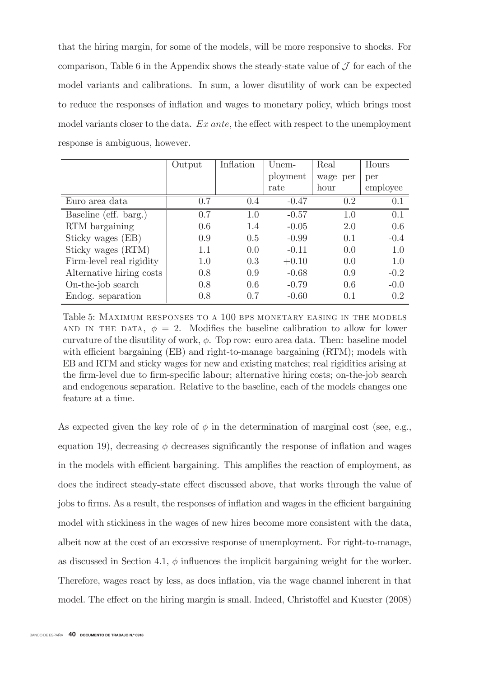that the hiring margin, for some of the models, will be more responsive to shocks. For comparison. Table 6 in the Appendix shows the steady-state value of  $\mathcal J$  for each of the model variants and calibrations. In sum, a lower disubility of work can be expected to reduce the responses of inflation and wages to monetary policy, which brings most model variants closer to the data.  $Ex$  ante, the effect with respect to the unemployment response is ambiguous, however.

|                          | Output | Inflation | Unem-    | Real     | Hours    |
|--------------------------|--------|-----------|----------|----------|----------|
|                          |        |           | ployment | wage per | per      |
|                          |        |           | rate     | hour     | employee |
| Euro area data           | 0.7    | 0.4       | $-0.47$  | 0.2      | 0.1      |
| Baseline (eff. barg.)    | 0.7    | 1.0       | $-0.57$  | 1.0      | 0.1      |
| RTM bargaining           | 0.6    | 1.4       | $-0.05$  | 2.0      | 0.6      |
| Sticky wages (EB)        | 0.9    | 0.5       | $-0.99$  | 0.1      | $-0.4$   |
| Sticky wages (RTM)       | 1.1    | 0.0       | $-0.11$  | 0.0      | 1.0      |
| Firm-level real rigidity | 1.0    | 0.3       | $+0.10$  | 0.0      | 1.0      |
| Alternative hiring costs | 0.8    | 0.9       | $-0.68$  | 0.9      | $-0.2$   |
| On-the-job search        | 0.8    | 0.6       | $-0.79$  | 0.6      | $-0.0$   |
| Endog. separation        | 0.8    | 0.7       | $-0.60$  | 0.1      | 0.2      |

Table 5: MAXIMUM RESPONSES TO A 100 BPS MONETARY EASING IN THE MODELS AND IN THE DATA,  $\phi = 2$ . Modifies the baseline calibration to allow for lower curvature of the disutility of work,  $\phi$ . Top row: euro area data. Then: baseline model with efficient bargaining (EB) and right-to-manage bargaining (RTM); models with EB and RTM and sticky wages for new and existing matches; real rigidities arising at the firm-level due to firm-specific labour; alternative hiring costs; on-the-job search and endogenous separation. Relative to the baseline, each of the models changes one feature at a time.

As expected given the key role of  $\phi$  in the determination of marginal cost (see, e.g., equation 19), decreasing  $\phi$  decreases significantly the response of inflation and wages in the models with efficient bargaining. This amplifies the reaction of employment, as does the indirect steady-state effect discussed above, that works through the value of jobs to firms. As a result, the responses of inflation and wages in the efficient bargaining model with stickiness in the wages of new hires become more consistent with the data, albeit now at the cost of an excessive response of unemployment. For right-to-manage, as discussed in Section 4.1,  $\phi$  influences the implicit bargaining weight for the worker. Therefore, wages react by less, as does inflation, via the wage channel inherent in that model. The effect on the hiring margin is small. Indeed, Christoffel and Kuester (2008)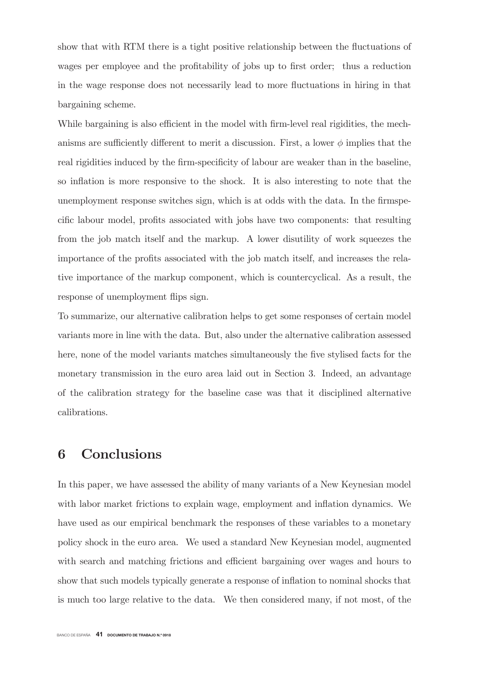show that with RTM there is a tight positive relationship between the fluctuations of wages per employee and the profitability of jobs up to first order; thus a reduction in the wage response does not necessarily lead to more fluctuations in hiring in that bargaining scheme.

While bargaining is also efficient in the model with firm-level real rigidities, the mechanisms are sufficiently different to merit a discussion. First, a lower  $\phi$  implies that the real rigidities induced by the firm-specificity of labour are weaker than in the baseline, so inflation is more responsive to the shock. It is also interesting to note that the unemployment response switches sign, which is at odds with the data. In the firms pecific labour model, profits associated with jobs have two components: that resulting from the job match itself and the markup. A lower disutility of work squeezes the importance of the profits associated with the job match itself, and increases the relative importance of the markup component, which is countercyclical. As a result, the response of unemployment flips sign.

To summarize, our alternative calibration helps to get some responses of certain model variants more in line with the data. But, also under the alternative calibration assessed here, none of the model variants matches simultaneously the five stylised facts for the monetary transmission in the euro area laid out in Section 3. Indeed, an advantage of the calibration strategy for the baseline case was that it disciplined alternative calibrations.

## Conclusions 6

In this paper, we have assessed the ability of many variants of a New Keynesian model with labor market frictions to explain wage, employment and inflation dynamics. We have used as our empirical benchmark the responses of these variables to a monetary policy shock in the euro area. We used a standard New Keynesian model, augmented with search and matching frictions and efficient bargaining over wages and hours to show that such models typically generate a response of inflation to nominal shocks that is much too large relative to the data. We then considered many, if not most, of the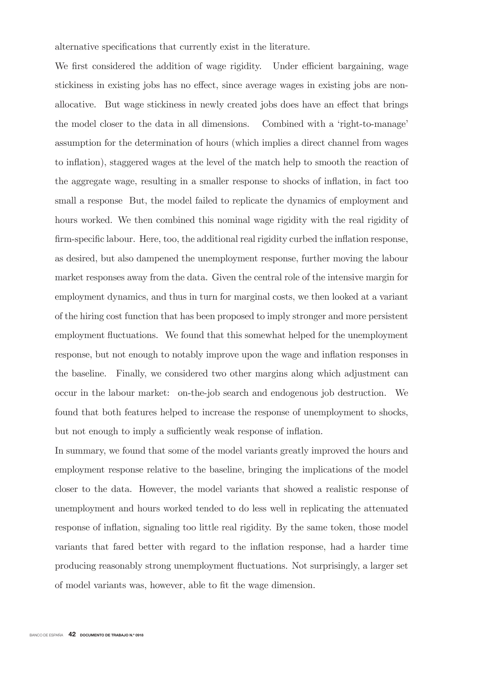alternative specifications that currently exist in the literature.

We first considered the addition of wage rigidity. Under efficient bargaining, wage stickiness in existing jobs has no effect, since average wages in existing jobs are nonallocative. But wage stickiness in newly created jobs does have an effect that brings the model closer to the data in all dimensions. Combined with a 'right-to-manage' assumption for the determination of hours (which implies a direct channel from wages to inflation), staggered wages at the level of the match help to smooth the reaction of the aggregate wage, resulting in a smaller response to shocks of inflation, in fact too small a response But, the model failed to replicate the dynamics of employment and hours worked. We then combined this nominal wage rigidity with the real rigidity of firm-specific labour. Here, too, the additional real rigidity curbed the inflation response, as desired, but also dampened the unemployment response, further moving the labour market responses away from the data. Given the central role of the intensive margin for employment dynamics, and thus in turn for marginal costs, we then looked at a variant of the hiring cost function that has been proposed to imply stronger and more persistent employment fluctuations. We found that this somewhat helped for the unemployment response, but not enough to notably improve upon the wage and inflation responses in the baseline. Finally, we considered two other margins along which adjustment can occur in the labour market: on-the-job search and endogenous job destruction. We found that both features helped to increase the response of unemployment to shocks, but not enough to imply a sufficiently weak response of inflation.

In summary, we found that some of the model variants greatly improved the hours and employment response relative to the baseline, bringing the implications of the model closer to the data. However, the model variants that showed a realistic response of unemployment and hours worked tended to do less well in replicating the attenuated response of inflation, signaling too little real rigidity. By the same token, those model variants that fared better with regard to the inflation response, had a harder time producing reasonably strong unemployment fluctuations. Not surprisingly, a larger set of model variants was, however, able to fit the wage dimension.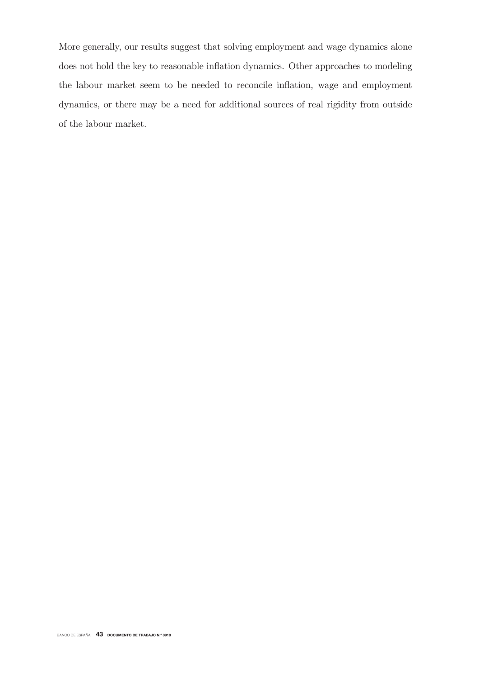More generally, our results suggest that solving employment and wage dynamics alone does not hold the key to reasonable inflation dynamics. Other approaches to modeling the labour market seem to be needed to reconcile inflation, wage and employment dynamics, or there may be a need for additional sources of real rigidity from outside of the labour market.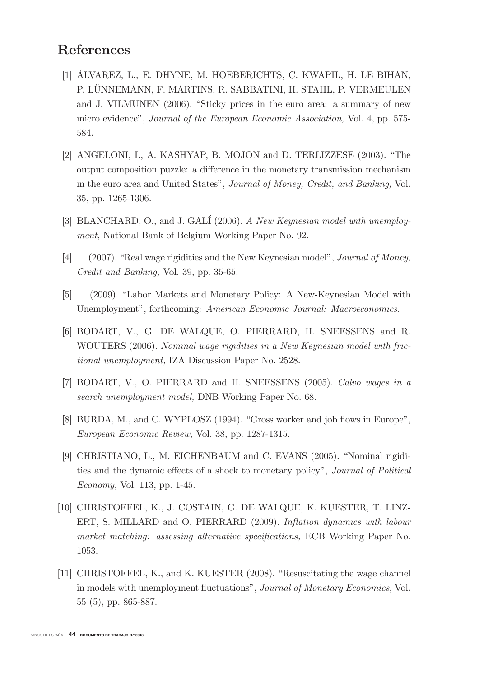# **References**

- [1] ÁLVAREZ, L., E. DHYNE, M. HOEBERICHTS, C. KWAPIL, H. LE BIHAN, P. LÜNNEMANN, F. MARTINS, R. SABBATINI, H. STAHL, P. VERMEULEN and J. VILMUNEN (2006). "Sticky prices in the euro area: a summary of new micro evidence", Journal of the European Economic Association, Vol. 4, pp. 575-584.
- [2] ANGELONI, I., A. KASHYAP, B. MOJON and D. TERLIZZESE (2003). "The output composition puzzle: a difference in the monetary transmission mechanism in the euro area and United States", Journal of Money, Credit, and Banking, Vol. 35, pp. 1265-1306.
- [3] BLANCHARD, O., and J. GALI (2006). A New Keynesian model with unemployment, National Bank of Belgium Working Paper No. 92.
- $[4]$  (2007). "Real wage rigidities and the New Keynesian model", *Journal of Money*, *Credit and Banking*, Vol. 39, pp. 35-65.
- $[5]$  (2009). "Labor Markets and Monetary Policy: A New-Keynesian Model with Unemployment", forthcoming: American Economic Journal: Macroeconomics.
- [6] BODART, V., G. DE WALQUE, O. PIERRARD, H. SNEESSENS and R. WOUTERS (2006). Nominal wage rigidities in a New Keynesian model with frictional unemployment, IZA Discussion Paper No. 2528.
- [7] BODART, V., O. PIERRARD and H. SNEESSENS (2005). Calvo wages in a search unemployment model, DNB Working Paper No. 68.
- [8] BURDA, M., and C. WYPLOSZ (1994). "Gross worker and job flows in Europe", European Economic Review, Vol. 38, pp. 1287-1315.
- [9] CHRISTIANO, L., M. EICHENBAUM and C. EVANS (2005). "Nominal rigidities and the dynamic effects of a shock to monetary policy", Journal of Political *Economy*, Vol. 113, pp. 1-45.
- [10] CHRISTOFFEL, K., J. COSTAIN, G. DE WALQUE, K. KUESTER, T. LINZ-ERT, S. MILLARD and O. PIERRARD (2009). Inflation dynamics with labour market matching: assessing alternative specifications. ECB Working Paper No. 1053.
- [11] CHRISTOFFEL, K., and K. KUESTER (2008). "Resuscitating the wage channel in models with unemployment fluctuations", Journal of Monetary Economics, Vol.  $55(5)$ , pp. 865-887.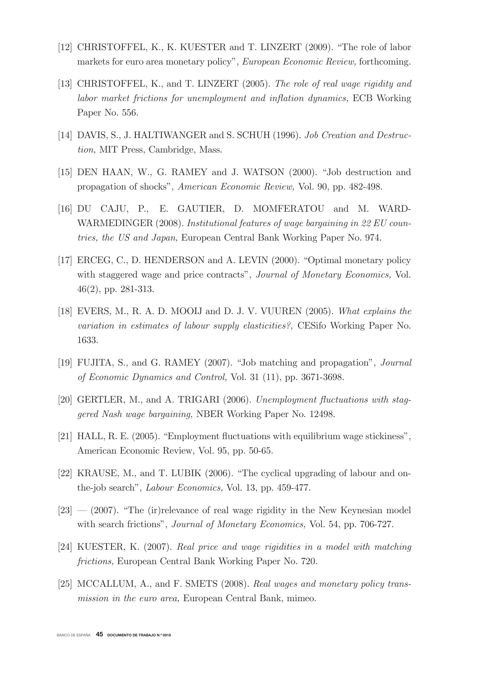- [12] CHRISTOFFEL, K., K. KUESTER and T. LINZERT (2009). "The role of labor markets for euro area monetary policy", European Economic Review, forthcoming.
- [13] CHRISTOFFEL, K., and T. LINZERT (2005). The role of real wage rigidity and labor market frictions for unemployment and inflation dynamics, ECB Working Paper No. 556.
- [14] DAVIS, S., J. HALTIWANGER and S. SCHUH (1996). Job Creation and Destruction, MIT Press, Cambridge, Mass.
- [15] DEN HAAN, W., G. RAMEY and J. WATSON (2000). "Job destruction and propagation of shocks", American Economic Review, Vol. 90, pp. 482-498.
- [16] DU CAJU, P., E. GAUTIER, D. MOMFERATOU and M. WARD-WARMEDINGER (2008). Institutional features of wage bargaining in 22 EU countries, the US and Japan, European Central Bank Working Paper No. 974.
- [17] ERCEG, C., D. HENDERSON and A. LEVIN (2000). "Optimal monetary policy with staggered wage and price contracts", Journal of Monetary Economics, Vol.  $46(2)$ , pp. 281-313.
- [18] EVERS, M., R. A. D. MOOIJ and D. J. V. VUUREN (2005). What explains the variation in estimates of labour supply elasticities?, CESifo Working Paper No. 1633.
- [19] FUJITA, S., and G. RAMEY (2007). "Job matching and propagation", *Journal* of Economic Dynamics and Control, Vol. 31 (11), pp. 3671-3698.
- [20] GERTLER, M., and A. TRIGARI (2006). Unemployment fluctuations with staggered Nash wage bargaining, NBER Working Paper No. 12498.
- [21] HALL, R. E. (2005). "Employment fluctuations with equilibrium wage stickiness". American Economic Review, Vol. 95, pp. 50-65.
- [22] KRAUSE, M., and T. LUBIK (2006). "The cyclical upgrading of labour and onthe-job search", *Labour Economics*, Vol. 13, pp. 459-477.
- $[23]$  (2007). "The (ir) relevance of real wage rigidity in the New Keynesian model with search frictions", Journal of Monetary Economics, Vol. 54, pp. 706-727.
- [24] KUESTER, K. (2007). Real price and wage rigidities in a model with matching *frictions*. European Central Bank Working Paper No. 720.
- [25] MCCALLUM, A., and F. SMETS (2008). Real wages and monetary policy transmission in the euro area, European Central Bank, mimeo.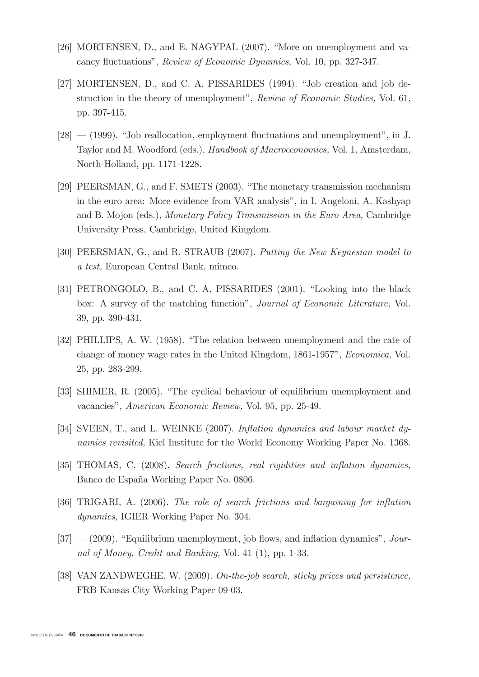- [26] MORTENSEN, D., and E. NAGYPAL  $(2007)$ . "More on unemployment and vacancy fluctuations", *Review of Economic Dynamics*, Vol. 10, pp. 327-347.
- [27] MORTENSEN, D., and C. A. PISSARIDES (1994). "Job creation and job destruction in the theory of unemployment", Review of Economic Studies, Vol. 61, pp. 397-415.
- $[28]$   $(1999)$ . "Job reallocation, employment fluctuations and unemployment", in J. Taylor and M. Woodford (eds.), *Handbook of Macroeconomics*, Vol. 1, Amsterdam, North-Holland, pp. 1171-1228.
- [29]  $PEERSMAN, G., and F. SMETS (2003). "The monetary transmission mechanism"$ in the euro area: More evidence from VAR analysis", in I. Angeloni, A. Kashyap and B. Mojon (eds.), *Monetary Policy Transmission in the Euro Area*, Cambridge University Press, Cambridge, United Kingdom.
- [30] PEERSMAN, G., and R. STRAUB (2007). Putting the New Keynesian model to a test, European Central Bank, mimeo.
- [31] PETRONGOLO, B., and C. A. PISSARIDES (2001). "Looking into the black box: A survey of the matching function", *Journal of Economic Literature*, Vol. 39, pp. 390-431.
- [32] PHILLIPS, A. W. (1958). "The relation between unemployment and the rate of change of money wage rates in the United Kingdom, 1861-1957", *Economica*, Vol. 25, pp. 283-299.
- [33] SHIMER, R. (2005). "The cyclical behaviour of equilibrium unemployment and vacancies", American Economic Review, Vol. 95, pp. 25-49.
- [34] SVEEN, T., and L. WEINKE  $(2007)$ . Inflation dynamics and labour market dynamics revisited, Kiel Institute for the World Economy Working Paper No. 1368.
- [35] THOMAS, C. (2008). Search frictions, real rigidities and inflation dynamics, Banco de España Working Paper No. 0806.
- [36] TRIGARI, A.  $(2006)$ . The role of search frictions and bargaining for inflation dynamics, IGIER Working Paper No. 304.
- $[37]$   $(2009)$ . "Equilibrium unemployment, job flows, and inflation dynamics", *Jour*nal of Money, Credit and Banking, Vol. 41 (1), pp. 1-33.
- [38] VAN ZANDWEGHE, W.  $(2009)$ . On-the-job search, sticky prices and persistence, FRB Kansas City Working Paper 09-03.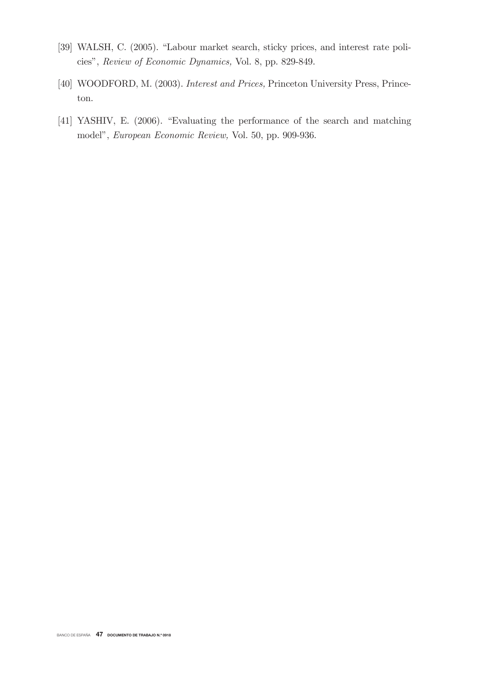- [39] WALSH, C. (2005). "Labour market search, sticky prices, and interest rate policies", Review of Economic Dynamics, Vol. 8, pp. 829-849.
- [40] WOODFORD, M. (2003). Interest and Prices, Princeton University Press, Princeton.
- [41] YASHIV, E. (2006). "Evaluating the performance of the search and matching model", European Economic Review, Vol. 50, pp. 909-936.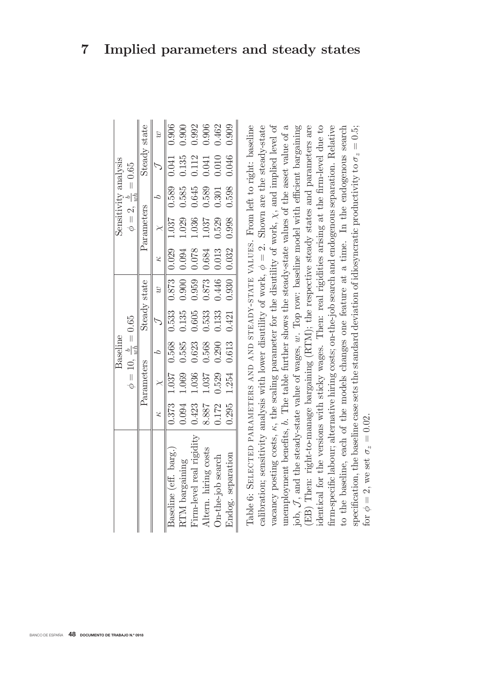|                                                                                                                   |       |                                                                       | Baseline                         |       |              |                 |                               | Sensitivity analysis            |       |              |
|-------------------------------------------------------------------------------------------------------------------|-------|-----------------------------------------------------------------------|----------------------------------|-------|--------------|-----------------|-------------------------------|---------------------------------|-------|--------------|
|                                                                                                                   |       |                                                                       | $\phi = 10, \frac{b}{wh} = 0.65$ |       |              |                 |                               | $\phi = 2, \frac{b}{wh} = 0.65$ |       |              |
|                                                                                                                   |       | Parameters                                                            |                                  |       | Steady state |                 | Parameters                    |                                 |       | Steady state |
|                                                                                                                   | Ż     |                                                                       | $\overline{c}$                   |       | $\omega$     | $\kappa$        |                               |                                 |       |              |
| Baseline (eff. barg.)                                                                                             |       | $0.373$ 1.037 0.568 0.533 0.873 0.029 1.037 0.589 0.041 0.906         |                                  |       |              |                 |                               |                                 |       |              |
| RTM bargaining                                                                                                    |       | $0.094$ 1.069 0.585 0.135 0.900 0.094 1.029 0.585 0.135               |                                  |       |              |                 |                               |                                 |       | 0.900        |
| Firm-level real rigidity                                                                                          | 0.423 | 1.036                                                                 | 0.623                            | 0.605 |              |                 | 0.959   0.078   1.036   0.645 |                                 | 0.112 | 0.992        |
| Altern. hiring costs                                                                                              | 8.887 | 1.037                                                                 | 0.568                            | 0.533 |              |                 | 0.873   0.684   1.037         | 0.589                           | 0.041 | 0.906        |
| On-the-job search                                                                                                 | 0.172 | 0.529                                                                 | 0.290                            | 0.133 |              | $0.446$   0.013 | 0.529                         | 0.301                           | 0.010 | 0.462        |
| Endog. separation                                                                                                 |       | $0.295$ 1.254 $0.613$ $0.421$ $0.930$ $0.032$ $0.998$ $0.598$ $0.046$ |                                  |       |              |                 |                               |                                 |       | 0.909        |
| Table 6: SELECTED PARAMETERS AND AND STEADY-STATE VALUES. From left to right: baseline                            |       |                                                                       |                                  |       |              |                 |                               |                                 |       |              |
| calibration; sensitivity analysis with lower disutility of work, $\phi = 2$ . Shown are the steady-state          |       |                                                                       |                                  |       |              |                 |                               |                                 |       |              |
| vacancy posting costs, $\kappa$ , the scaling parameter for the disutility of work, $\chi$ , and implied level of |       |                                                                       |                                  |       |              |                 |                               |                                 |       |              |
| unemployment benefits, b. The table further shows the steady-state values of the asset value of a                 |       |                                                                       |                                  |       |              |                 |                               |                                 |       |              |

 $= 0.5$  $j$  ob,  $J$ , and the steady-state value of wages,  $w$ . Top row: baseline model with efficient bargaining (EB) Then: right-to-manage bargaining (RTM); the respective steady states and parameters are identical for the versions with sticky wages. Then: real rigidities arising at the firm-level due to firm-specific labour; alternative hiring costs; on-the-job search and endogenous separation. Relative In the endogenous search specification, the baseline case sets the standard deviation of idiosyncratic productivity to  $\sigma_z$ to the baseline, each of the models changes one feature at a time. 2, we set  $\sigma_z = 0.02$ . for  $\phi = 2$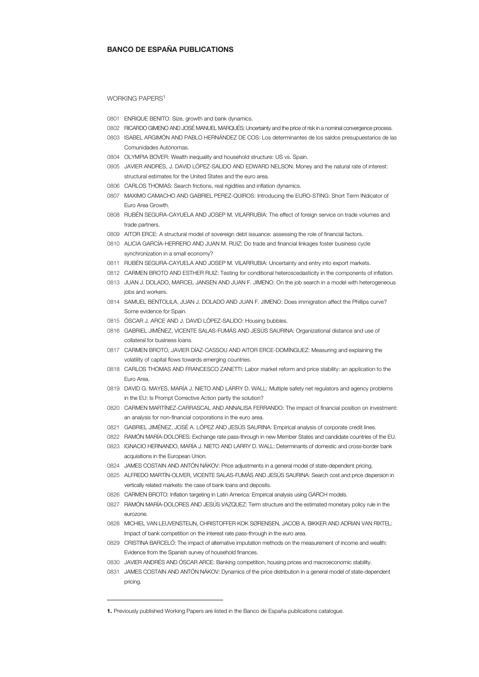## **BANCO DE ESPAÑA PUBLICATIONS**

## WORKING PAPERS<sup>1</sup>

- 0801 ENRIQUE BENITO: Size, growth and bank dynamics.
- 0802 RICARDO GIMENO AND JOSÉ MANUEL MARQUÉS: Uncertainty and the price of risk in a nominal convergence process.
- 0803 ISABEL ARGIMÓN AND PABLO HERNÁNDEZ DE COS: Los determinantes de los saldos presupuestarios de las Comunidades Autónomas.
- 0804 OLYMPIA BOVER: Wealth inequality and household structure: US vs. Spain.
- 0805 JAVIER ANDRÉS, J. DAVID LÓPEZ-SALIDO AND EDWARD NELSON: Money and the natural rate of interest: structural estimates for the United States and the euro area.
- 0806 CARLOS THOMAS: Search frictions, real rigidities and inflation dynamics.
- 0807 MAXIMO CAMACHO AND GABRIEL PEREZ-QUIROS: Introducing the EURO-STING: Short Term INdicator of Euro Area Growth.
- 0808 RUBÉN SEGURA-CAYUELA AND JOSEP M. VILARRUBIA: The effect of foreign service on trade volumes and trade partners.
- 0809 AITOR ERCE: A structural model of sovereign debt issuance: assessing the role of financial factors.
- 0810 ALICIA GARCÍA-HERRERO AND JUAN M. RUIZ: Do trade and financial linkages foster business cycle synchronization in a small economy?
- 0811 RUBÉN SEGURA-CAYUELA AND JOSEP M. VILARRUBIA: Uncertainty and entry into export markets.
- 0812 CARMEN BROTO AND ESTHER RUIZ: Testing for conditional heteroscedasticity in the components of inflation.
- 0813 JUAN J. DOLADO, MARCEL JANSEN AND JUAN F. JIMENO: On the job search in a model with heterogeneous jobs and workers.
- 0814 SAMUEL BENTOLILA, JUAN J. DOLADO AND JUAN F. JIMENO: Does immigration affect the Phillips curve? Some evidence for Spain.
- 0815 ÓSCAR J. ARCE AND J. DAVID LÓPEZ-SALIDO: Housing bubbles.
- 0816 GABRIEL JIMÉNEZ, VICENTE SALAS-FUMÁS AND JESÚS SAURINA: Organizational distance and use of collateral for business loans.
- 0817 CARMEN BROTO, JAVIER DÍAZ-CASSOU AND AITOR ERCE-DOMÍNGUEZ: Measuring and explaining the volatility of capital flows towards emerging countries.
- 0818 CARLOS THOMAS AND FRANCESCO ZANETTI: Labor market reform and price stability: an application to the Euro Area.
- 0819 DAVID G. MAYES, MARÍA J. NIETO AND LARRY D. WALL: Multiple safety net regulators and agency problems in the EU: Is Prompt Corrective Action partly the solution?
- 0820 CARMEN MARTÍNEZ-CARRASCAL AND ANNALISA FERRANDO: The impact of financial position on investment: an analysis for non-financial corporations in the euro area.
- 0821 GABRIEL JIMÉNEZ, JOSÉ A. LÓPEZ AND JESÚS SAURINA: Empirical analysis of corporate credit lines.
- 0822 RAMÓN MARÍA-DOLORES: Exchange rate pass-through in new Member States and candidate countries of the EU.
- 0823 IGNACIO HERNANDO, MARÍA J. NIETO AND LARRY D. WALL: Determinants of domestic and cross-border bank acquisitions in the European Union.
- 0824 JAMES COSTAIN AND ANTÓN NÁKOV: Price adjustments in a general model of state-dependent pricing.
- 0825 ALFREDO MARTÍN-OLIVER, VICENTE SALAS-FUMÁS AND JESÚS SAURINA: Search cost and price dispersion in vertically related markets: the case of bank loans and deposits.
- 0826 CARMEN BROTO: Inflation targeting in Latin America: Empirical analysis using GARCH models.
- 0827 RAMÓN MARÍA-DOLORES AND JESÚS VAZQUEZ: Term structure and the estimated monetary policy rule in the eurozone.
- 0828 MICHIEL VAN LEUVENSTEIJN, CHRISTOFFER KOK SØRENSEN, JACOB A. BIKKER AND ADRIAN VAN RIXTEL: Impact of bank competition on the interest rate pass-through in the euro area.
- 0829 CRISTINA BARCELÓ: The impact of alternative imputation methods on the measurement of income and wealth: Evidence from the Spanish survey of household finances.
- 0830 JAVIER ANDRÉS AND ÓSCAR ARCE: Banking competition, housing prices and macroeconomic stability.
- 0831 JAMES COSTAIN AND ANTÓN NÁKOV: Dynamics of the price distribution in a general model of state-dependent pricing.

j

**<sup>1.</sup>** Previously published Working Papers are listed in the Banco de España publications catalogue.